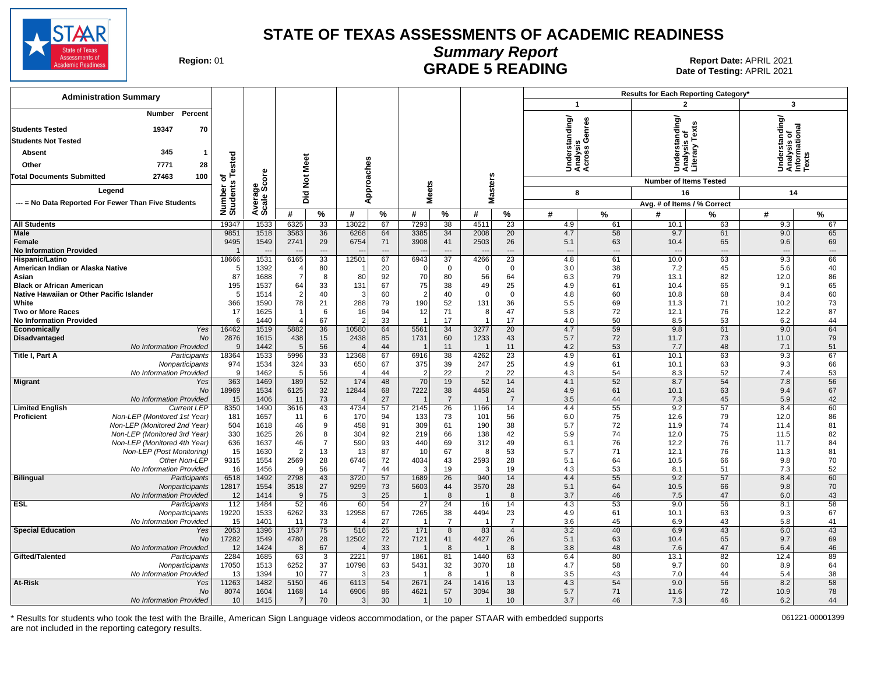

# **Summary Report**

Region: 01 **Region: 01 CONTRIGGLARGE 5 READING Report Date: APRIL 2021 Region: 01 Report Date: APRIL 2021** Date of Testing: APRIL 2021

| $\overline{2}$<br>3<br>$\mathbf{1}$<br><b>Number</b><br>Percent<br>nderstanding/<br>nalysis<br>:ross Genres<br>Understanding/<br>Analysis of<br>Informational<br>Texts<br>derstanding<br>19347<br>70<br><b>Students Tested</b><br>Tex<br><b>Students Not Tested</b><br>sis<br>5<br>345<br>Absent<br>$\overline{1}$<br>ia ja<br>Tai<br>ested<br>Not Meet<br>Approaches<br>28<br>7771<br>Other<br>šää<br>Såš<br>Average<br>Scale Score<br>Number of<br>Students Te<br><b>Masters</b><br><b>Total Documents Submitted</b><br>27463<br>100<br><b>Number of Items Tested</b><br><b>Meets</b><br>Legend<br>Did<br>16<br>14<br>8<br>--- = No Data Reported For Fewer Than Five Students<br>Avg. # of Items / % Correct<br>$\%$<br>#<br>%<br>#<br>%<br>#<br>%<br>#<br>#<br>$\%$<br>$\frac{9}{6}$<br>#<br>%<br>#<br>19347<br>1533<br>6325<br>33<br>13022<br>67<br>7293<br>38<br>4511<br>23<br>4.9<br>61<br>63<br>9.3<br>67<br><b>All Students</b><br>10.1<br><b>Male</b><br>9851<br>1518<br>3583<br>20<br>4.7<br>58<br>9.7<br>61<br>9.0<br>65<br>36<br>6268<br>64<br>3385<br>34<br>2008<br>9495<br>1549<br>2741<br>29<br>6754<br>71<br>3908<br>2503<br>26<br>5.1<br>63<br>65<br>69<br>41<br>10.4<br>9.6<br>Female<br><b>No Information Provided</b><br>$\overline{\phantom{a}}$<br>$\overline{a}$<br>$\overline{a}$<br>$\overline{\phantom{a}}$<br>$---$<br>$\overline{\phantom{a}}$<br>---<br>$\overline{\phantom{a}}$<br>$\overline{33}$<br>18666<br>1531<br>6165<br>12501<br>67<br>6943<br>$\overline{37}$<br>4266<br>$\overline{23}$<br>4.8<br>61<br>63<br>9.3<br>66<br>Hispanic/Latino<br>10.0<br>7.2<br>40<br>5<br>1392<br>80<br>20<br>3.0<br>38<br>45<br>5.6<br>American Indian or Alaska Native<br>$\overline{4}$<br>$\mathbf 0$<br>$\mathbf 0$<br>$\mathbf 0$<br>87<br>1688<br>$\overline{7}$<br>80<br>70<br>56<br>86<br>92<br>80<br>64<br>6.3<br>79<br>82<br>Asian<br>8<br>13.1<br>12.0<br>65<br>195<br>1537<br>64<br>131<br>67<br>75<br>49<br>25<br>4.9<br>61<br>9.1<br><b>Black or African American</b><br>33<br>38<br>10.4<br>65 | <b>Administration Summary</b>             |   |      |                |    |   |    |                |    |             |             |     | Results for Each Reporting Category* |      |    |     |    |
|--------------------------------------------------------------------------------------------------------------------------------------------------------------------------------------------------------------------------------------------------------------------------------------------------------------------------------------------------------------------------------------------------------------------------------------------------------------------------------------------------------------------------------------------------------------------------------------------------------------------------------------------------------------------------------------------------------------------------------------------------------------------------------------------------------------------------------------------------------------------------------------------------------------------------------------------------------------------------------------------------------------------------------------------------------------------------------------------------------------------------------------------------------------------------------------------------------------------------------------------------------------------------------------------------------------------------------------------------------------------------------------------------------------------------------------------------------------------------------------------------------------------------------------------------------------------------------------------------------------------------------------------------------------------------------------------------------------------------------------------------------------------------------------------------------------------------------------------------------------------------------------------------------------------------------------------------------------------------------------------------------------------------------------|-------------------------------------------|---|------|----------------|----|---|----|----------------|----|-------------|-------------|-----|--------------------------------------|------|----|-----|----|
|                                                                                                                                                                                                                                                                                                                                                                                                                                                                                                                                                                                                                                                                                                                                                                                                                                                                                                                                                                                                                                                                                                                                                                                                                                                                                                                                                                                                                                                                                                                                                                                                                                                                                                                                                                                                                                                                                                                                                                                                                                      |                                           |   |      |                |    |   |    |                |    |             |             |     |                                      |      |    |     |    |
|                                                                                                                                                                                                                                                                                                                                                                                                                                                                                                                                                                                                                                                                                                                                                                                                                                                                                                                                                                                                                                                                                                                                                                                                                                                                                                                                                                                                                                                                                                                                                                                                                                                                                                                                                                                                                                                                                                                                                                                                                                      |                                           |   |      |                |    |   |    |                |    |             |             |     |                                      |      |    |     |    |
|                                                                                                                                                                                                                                                                                                                                                                                                                                                                                                                                                                                                                                                                                                                                                                                                                                                                                                                                                                                                                                                                                                                                                                                                                                                                                                                                                                                                                                                                                                                                                                                                                                                                                                                                                                                                                                                                                                                                                                                                                                      |                                           |   |      |                |    |   |    |                |    |             |             |     |                                      |      |    |     |    |
|                                                                                                                                                                                                                                                                                                                                                                                                                                                                                                                                                                                                                                                                                                                                                                                                                                                                                                                                                                                                                                                                                                                                                                                                                                                                                                                                                                                                                                                                                                                                                                                                                                                                                                                                                                                                                                                                                                                                                                                                                                      |                                           |   |      |                |    |   |    |                |    |             |             |     |                                      |      |    |     |    |
|                                                                                                                                                                                                                                                                                                                                                                                                                                                                                                                                                                                                                                                                                                                                                                                                                                                                                                                                                                                                                                                                                                                                                                                                                                                                                                                                                                                                                                                                                                                                                                                                                                                                                                                                                                                                                                                                                                                                                                                                                                      |                                           |   |      |                |    |   |    |                |    |             |             |     |                                      |      |    |     |    |
|                                                                                                                                                                                                                                                                                                                                                                                                                                                                                                                                                                                                                                                                                                                                                                                                                                                                                                                                                                                                                                                                                                                                                                                                                                                                                                                                                                                                                                                                                                                                                                                                                                                                                                                                                                                                                                                                                                                                                                                                                                      |                                           |   |      |                |    |   |    |                |    |             |             |     |                                      |      |    |     |    |
|                                                                                                                                                                                                                                                                                                                                                                                                                                                                                                                                                                                                                                                                                                                                                                                                                                                                                                                                                                                                                                                                                                                                                                                                                                                                                                                                                                                                                                                                                                                                                                                                                                                                                                                                                                                                                                                                                                                                                                                                                                      |                                           |   |      |                |    |   |    |                |    |             |             |     |                                      |      |    |     |    |
|                                                                                                                                                                                                                                                                                                                                                                                                                                                                                                                                                                                                                                                                                                                                                                                                                                                                                                                                                                                                                                                                                                                                                                                                                                                                                                                                                                                                                                                                                                                                                                                                                                                                                                                                                                                                                                                                                                                                                                                                                                      |                                           |   |      |                |    |   |    |                |    |             |             |     |                                      |      |    |     |    |
|                                                                                                                                                                                                                                                                                                                                                                                                                                                                                                                                                                                                                                                                                                                                                                                                                                                                                                                                                                                                                                                                                                                                                                                                                                                                                                                                                                                                                                                                                                                                                                                                                                                                                                                                                                                                                                                                                                                                                                                                                                      |                                           |   |      |                |    |   |    |                |    |             |             |     |                                      |      |    |     |    |
|                                                                                                                                                                                                                                                                                                                                                                                                                                                                                                                                                                                                                                                                                                                                                                                                                                                                                                                                                                                                                                                                                                                                                                                                                                                                                                                                                                                                                                                                                                                                                                                                                                                                                                                                                                                                                                                                                                                                                                                                                                      |                                           |   |      |                |    |   |    |                |    |             |             |     |                                      |      |    |     |    |
|                                                                                                                                                                                                                                                                                                                                                                                                                                                                                                                                                                                                                                                                                                                                                                                                                                                                                                                                                                                                                                                                                                                                                                                                                                                                                                                                                                                                                                                                                                                                                                                                                                                                                                                                                                                                                                                                                                                                                                                                                                      |                                           |   |      |                |    |   |    |                |    |             |             |     |                                      |      |    |     |    |
|                                                                                                                                                                                                                                                                                                                                                                                                                                                                                                                                                                                                                                                                                                                                                                                                                                                                                                                                                                                                                                                                                                                                                                                                                                                                                                                                                                                                                                                                                                                                                                                                                                                                                                                                                                                                                                                                                                                                                                                                                                      |                                           |   |      |                |    |   |    |                |    |             |             |     |                                      |      |    |     |    |
|                                                                                                                                                                                                                                                                                                                                                                                                                                                                                                                                                                                                                                                                                                                                                                                                                                                                                                                                                                                                                                                                                                                                                                                                                                                                                                                                                                                                                                                                                                                                                                                                                                                                                                                                                                                                                                                                                                                                                                                                                                      |                                           |   |      |                |    |   |    |                |    |             |             |     |                                      |      |    |     |    |
|                                                                                                                                                                                                                                                                                                                                                                                                                                                                                                                                                                                                                                                                                                                                                                                                                                                                                                                                                                                                                                                                                                                                                                                                                                                                                                                                                                                                                                                                                                                                                                                                                                                                                                                                                                                                                                                                                                                                                                                                                                      | Native Hawaiian or Other Pacific Islander | 5 | 1514 | $\overline{2}$ | 40 | 3 | 60 | $\overline{2}$ | 40 | $\mathbf 0$ | $\mathbf 0$ | 4.8 | 60                                   | 10.8 | 68 | 8.4 | 60 |
| 78<br>73<br>366<br>1590<br>21<br>288<br>79<br>190<br>52<br>131<br>36<br>White<br>5.5<br>69<br>11.3<br>71<br>10.2                                                                                                                                                                                                                                                                                                                                                                                                                                                                                                                                                                                                                                                                                                                                                                                                                                                                                                                                                                                                                                                                                                                                                                                                                                                                                                                                                                                                                                                                                                                                                                                                                                                                                                                                                                                                                                                                                                                     |                                           |   |      |                |    |   |    |                |    |             |             |     |                                      |      |    |     |    |
| 87<br>17<br>1625<br>6<br>94<br>12<br>71<br>47<br>72<br>76<br><b>Two or More Races</b><br>$\overline{\mathbf{1}}$<br>16<br>8<br>5.8<br>12.1<br>12.2<br>33<br>44<br><b>No Information Provided</b><br>6<br>1440<br>67<br>17<br>17<br>4.0<br>50<br>8.5<br>53<br>6.2<br>$\overline{4}$                                                                                                                                                                                                                                                                                                                                                                                                                                                                                                                                                                                                                                                                                                                                                                                                                                                                                                                                                                                                                                                                                                                                                                                                                                                                                                                                                                                                                                                                                                                                                                                                                                                                                                                                                   |                                           |   |      |                |    |   |    |                |    |             |             |     |                                      |      |    |     |    |
| 1519<br>$\overline{20}$<br>4.7<br>59<br>64<br>16462<br>5882<br>36<br>10580<br>64<br>5561<br>34<br>9.8<br>61<br>9.0<br>Economically<br>Yes<br>3277                                                                                                                                                                                                                                                                                                                                                                                                                                                                                                                                                                                                                                                                                                                                                                                                                                                                                                                                                                                                                                                                                                                                                                                                                                                                                                                                                                                                                                                                                                                                                                                                                                                                                                                                                                                                                                                                                    |                                           |   |      |                |    |   |    |                |    |             |             |     |                                      |      |    |     |    |
| 2876<br>2438<br>1233<br>5.7<br>79<br>Disadvantaged<br><b>No</b><br>1615<br>438<br>15<br>85<br>1731<br>60<br>43<br>72<br>11.7<br>73<br>11.0                                                                                                                                                                                                                                                                                                                                                                                                                                                                                                                                                                                                                                                                                                                                                                                                                                                                                                                                                                                                                                                                                                                                                                                                                                                                                                                                                                                                                                                                                                                                                                                                                                                                                                                                                                                                                                                                                           |                                           |   |      |                |    |   |    |                |    |             |             |     |                                      |      |    |     |    |
| 1442<br>56<br>53<br>48<br>51<br>No Information Provided<br>9<br>5<br>44<br>11<br>11<br>4.2<br>7.7<br>7.1<br>$\overline{\phantom{0}}$                                                                                                                                                                                                                                                                                                                                                                                                                                                                                                                                                                                                                                                                                                                                                                                                                                                                                                                                                                                                                                                                                                                                                                                                                                                                                                                                                                                                                                                                                                                                                                                                                                                                                                                                                                                                                                                                                                 |                                           |   |      |                |    |   |    |                |    |             |             |     |                                      |      |    |     |    |
| Title I, Part A<br>18364<br>1533<br>5996<br>33<br>12368<br>67<br>6916<br>38<br>4262<br>23<br>4.9<br>61<br>10.1<br>63<br>9.3<br>67<br>Participants<br>324<br>33<br>25<br>66<br>Nonparticipants<br>974<br>1534<br>650<br>67<br>375<br>39<br>247<br>4.9<br>61<br>10.1<br>63<br>9.3                                                                                                                                                                                                                                                                                                                                                                                                                                                                                                                                                                                                                                                                                                                                                                                                                                                                                                                                                                                                                                                                                                                                                                                                                                                                                                                                                                                                                                                                                                                                                                                                                                                                                                                                                      |                                           |   |      |                |    |   |    |                |    |             |             |     |                                      |      |    |     |    |
| No Information Provided<br>1462<br>56<br>22<br>22<br>52<br>53<br>9<br>5<br>44<br>4.3<br>54<br>8.3<br>7.4<br>$\overline{2}$                                                                                                                                                                                                                                                                                                                                                                                                                                                                                                                                                                                                                                                                                                                                                                                                                                                                                                                                                                                                                                                                                                                                                                                                                                                                                                                                                                                                                                                                                                                                                                                                                                                                                                                                                                                                                                                                                                           |                                           |   |      |                |    |   |    |                |    |             |             |     |                                      |      |    |     |    |
| 363<br>189<br>52<br>174<br>48<br>70<br>52<br>4.1<br>52<br>54<br>7.8<br>56<br><b>Migrant</b><br>1469<br>19<br>14<br>8.7<br>Yes                                                                                                                                                                                                                                                                                                                                                                                                                                                                                                                                                                                                                                                                                                                                                                                                                                                                                                                                                                                                                                                                                                                                                                                                                                                                                                                                                                                                                                                                                                                                                                                                                                                                                                                                                                                                                                                                                                        |                                           |   |      |                |    |   |    |                |    |             |             |     |                                      |      |    |     |    |
| 18969<br>32<br>12844<br>7222<br>4458<br>67<br>No<br>1534<br>6125<br>68<br>38<br>24<br>4.9<br>61<br>10.1<br>63<br>9.4                                                                                                                                                                                                                                                                                                                                                                                                                                                                                                                                                                                                                                                                                                                                                                                                                                                                                                                                                                                                                                                                                                                                                                                                                                                                                                                                                                                                                                                                                                                                                                                                                                                                                                                                                                                                                                                                                                                 |                                           |   |      |                |    |   |    |                |    |             |             |     |                                      |      |    |     |    |
| 73<br>27<br>No Information Provided<br>15<br>1406<br>11<br>$\overline{7}$<br>$\overline{7}$<br>3.5<br>44<br>7.3<br>45<br>5.9<br>42<br>$\overline{1}$<br>55<br>57<br>60<br><b>Limited English</b><br><b>Current LEP</b><br>8350<br>1490<br>3616<br>43<br>4734<br>57<br>2145<br>26<br>1166<br>14<br>4.4<br>9.2<br>8.4                                                                                                                                                                                                                                                                                                                                                                                                                                                                                                                                                                                                                                                                                                                                                                                                                                                                                                                                                                                                                                                                                                                                                                                                                                                                                                                                                                                                                                                                                                                                                                                                                                                                                                                  |                                           |   |      |                |    |   |    |                |    |             |             |     |                                      |      |    |     |    |
| Non-LEP (Monitored 1st Year)<br>75<br>86<br>Proficient<br>181<br>1657<br>6<br>170<br>133<br>73<br>56<br>6.0<br>12.6<br>79<br>12.0<br>11<br>94<br>101                                                                                                                                                                                                                                                                                                                                                                                                                                                                                                                                                                                                                                                                                                                                                                                                                                                                                                                                                                                                                                                                                                                                                                                                                                                                                                                                                                                                                                                                                                                                                                                                                                                                                                                                                                                                                                                                                 |                                           |   |      |                |    |   |    |                |    |             |             |     |                                      |      |    |     |    |
| 458<br>72<br>Non-LEP (Monitored 2nd Year)<br>504<br>1618<br>46<br>9<br>91<br>309<br>61<br>190<br>38<br>5.7<br>74<br>81<br>11.9<br>11.4                                                                                                                                                                                                                                                                                                                                                                                                                                                                                                                                                                                                                                                                                                                                                                                                                                                                                                                                                                                                                                                                                                                                                                                                                                                                                                                                                                                                                                                                                                                                                                                                                                                                                                                                                                                                                                                                                               |                                           |   |      |                |    |   |    |                |    |             |             |     |                                      |      |    |     |    |
| 26<br>82<br>Non-LEP (Monitored 3rd Year)<br>330<br>1625<br>8<br>304<br>92<br>219<br>66<br>138<br>42<br>5.9<br>75<br>74<br>12.0<br>11.5                                                                                                                                                                                                                                                                                                                                                                                                                                                                                                                                                                                                                                                                                                                                                                                                                                                                                                                                                                                                                                                                                                                                                                                                                                                                                                                                                                                                                                                                                                                                                                                                                                                                                                                                                                                                                                                                                               |                                           |   |      |                |    |   |    |                |    |             |             |     |                                      |      |    |     |    |
| 636<br>590<br>312<br>76<br>84<br>Non-LEP (Monitored 4th Year)<br>1637<br>46<br>$\overline{7}$<br>93<br>440<br>69<br>49<br>6.1<br>76<br>12.2<br>11.7<br>Non-LEP (Post Monitoring)<br>15<br>$\overline{2}$<br>13<br>87<br>67<br>71<br>76<br>81<br>1630<br>13<br>10<br>53<br>5.7<br>12.1<br>11.3<br>8                                                                                                                                                                                                                                                                                                                                                                                                                                                                                                                                                                                                                                                                                                                                                                                                                                                                                                                                                                                                                                                                                                                                                                                                                                                                                                                                                                                                                                                                                                                                                                                                                                                                                                                                   |                                           |   |      |                |    |   |    |                |    |             |             |     |                                      |      |    |     |    |
| 9315<br>1554<br>2569<br>28<br>6746<br>72<br>4034<br>43<br>2593<br>28<br>5.1<br>66<br>9.8<br>70<br>Other Non-LEP<br>64<br>10.5                                                                                                                                                                                                                                                                                                                                                                                                                                                                                                                                                                                                                                                                                                                                                                                                                                                                                                                                                                                                                                                                                                                                                                                                                                                                                                                                                                                                                                                                                                                                                                                                                                                                                                                                                                                                                                                                                                        |                                           |   |      |                |    |   |    |                |    |             |             |     |                                      |      |    |     |    |
| 52<br>16<br>1456<br>56<br>44<br>19<br>19<br>No Information Provided<br>3<br>4.3<br>53<br>8.1<br>51<br>7.3<br>- c                                                                                                                                                                                                                                                                                                                                                                                                                                                                                                                                                                                                                                                                                                                                                                                                                                                                                                                                                                                                                                                                                                                                                                                                                                                                                                                                                                                                                                                                                                                                                                                                                                                                                                                                                                                                                                                                                                                     |                                           |   |      |                |    |   |    |                |    |             |             |     |                                      |      |    |     |    |
| 57<br>55<br>60<br>6518<br>1492<br>2798<br>43<br>3720<br>1689<br>$\overline{26}$<br>14<br>4.4<br>9.2<br>57<br>8.4<br><b>Bilingual</b><br>940<br>Participants                                                                                                                                                                                                                                                                                                                                                                                                                                                                                                                                                                                                                                                                                                                                                                                                                                                                                                                                                                                                                                                                                                                                                                                                                                                                                                                                                                                                                                                                                                                                                                                                                                                                                                                                                                                                                                                                          |                                           |   |      |                |    |   |    |                |    |             |             |     |                                      |      |    |     |    |
| 27<br>12817<br>1554<br>3518<br>9299<br>73<br>5603<br>44<br>3570<br>28<br>5.1<br>64<br>10.5<br>66<br>9.8<br>70<br>Nonparticipants<br>75<br>25<br>No Information Provided<br>12<br>1414<br>9<br>3<br>8<br>8<br>3.7<br>46<br>7.5<br>47<br>6.0<br>43<br>$\overline{1}$<br>$\overline{1}$                                                                                                                                                                                                                                                                                                                                                                                                                                                                                                                                                                                                                                                                                                                                                                                                                                                                                                                                                                                                                                                                                                                                                                                                                                                                                                                                                                                                                                                                                                                                                                                                                                                                                                                                                 |                                           |   |      |                |    |   |    |                |    |             |             |     |                                      |      |    |     |    |
| 52<br>$\overline{27}$<br>53<br>56<br>58<br>ESL<br>112<br>1484<br>46<br>60<br>54<br>24<br>16<br>14<br>4.3<br>9.0<br>8.1<br>Participants                                                                                                                                                                                                                                                                                                                                                                                                                                                                                                                                                                                                                                                                                                                                                                                                                                                                                                                                                                                                                                                                                                                                                                                                                                                                                                                                                                                                                                                                                                                                                                                                                                                                                                                                                                                                                                                                                               |                                           |   |      |                |    |   |    |                |    |             |             |     |                                      |      |    |     |    |
| 19220<br>1533<br>6262<br>33<br>12958<br>67<br>7265<br>38<br>4494<br>23<br>4.9<br>61<br>63<br>9.3<br>67<br>Nonparticipants<br>10.1                                                                                                                                                                                                                                                                                                                                                                                                                                                                                                                                                                                                                                                                                                                                                                                                                                                                                                                                                                                                                                                                                                                                                                                                                                                                                                                                                                                                                                                                                                                                                                                                                                                                                                                                                                                                                                                                                                    |                                           |   |      |                |    |   |    |                |    |             |             |     |                                      |      |    |     |    |
| 73<br>No Information Provided<br>15<br>1401<br>27<br>$\overline{7}$<br>$\overline{7}$<br>3.6<br>45<br>6.9<br>43<br>5.8<br>41<br>11                                                                                                                                                                                                                                                                                                                                                                                                                                                                                                                                                                                                                                                                                                                                                                                                                                                                                                                                                                                                                                                                                                                                                                                                                                                                                                                                                                                                                                                                                                                                                                                                                                                                                                                                                                                                                                                                                                   |                                           |   |      |                |    |   |    |                |    |             |             |     |                                      |      |    |     |    |
| 1537<br>75<br>25<br>$\overline{4}$<br>43<br><b>Special Education</b><br>2053<br>1396<br>516<br>171<br>8<br>83<br>3.2<br>40<br>6.9<br>6.0<br>43<br>Yes                                                                                                                                                                                                                                                                                                                                                                                                                                                                                                                                                                                                                                                                                                                                                                                                                                                                                                                                                                                                                                                                                                                                                                                                                                                                                                                                                                                                                                                                                                                                                                                                                                                                                                                                                                                                                                                                                |                                           |   |      |                |    |   |    |                |    |             |             |     |                                      |      |    |     |    |
| 17282<br>1549<br>4780<br>28<br>12502<br>72<br>4427<br>26<br>5.1<br>63<br>65<br>9.7<br>69<br>No<br>7121<br>41<br>10.4<br>No Information Provided<br>12<br>1424<br>67<br>33<br>48<br>47<br>46<br>-8<br>8<br>8<br>3.8<br>7.6<br>6.4<br>$\overline{\phantom{0}}$                                                                                                                                                                                                                                                                                                                                                                                                                                                                                                                                                                                                                                                                                                                                                                                                                                                                                                                                                                                                                                                                                                                                                                                                                                                                                                                                                                                                                                                                                                                                                                                                                                                                                                                                                                         |                                           |   |      |                |    |   |    |                |    |             |             |     |                                      |      |    |     |    |
| 2221<br>2284<br>1440<br>Gifted/Talented<br>1685<br>63<br>97<br>1861<br>63<br>6.4<br>80<br>13.1<br>82<br>12.4<br>89<br>Participants<br>3<br>81                                                                                                                                                                                                                                                                                                                                                                                                                                                                                                                                                                                                                                                                                                                                                                                                                                                                                                                                                                                                                                                                                                                                                                                                                                                                                                                                                                                                                                                                                                                                                                                                                                                                                                                                                                                                                                                                                        |                                           |   |      |                |    |   |    |                |    |             |             |     |                                      |      |    |     |    |
| 17050<br>1513<br>6252<br>37<br>10798<br>63<br>5431<br>32<br>3070<br>4.7<br>58<br>9.7<br>60<br>64<br>Nonparticipants<br>18<br>8.9                                                                                                                                                                                                                                                                                                                                                                                                                                                                                                                                                                                                                                                                                                                                                                                                                                                                                                                                                                                                                                                                                                                                                                                                                                                                                                                                                                                                                                                                                                                                                                                                                                                                                                                                                                                                                                                                                                     |                                           |   |      |                |    |   |    |                |    |             |             |     |                                      |      |    |     |    |
| No Information Provided<br>1394<br>77<br>23<br>3.5<br>43<br>7.0<br>44<br>38<br>13<br>10<br>8<br>8<br>5.4<br>3                                                                                                                                                                                                                                                                                                                                                                                                                                                                                                                                                                                                                                                                                                                                                                                                                                                                                                                                                                                                                                                                                                                                                                                                                                                                                                                                                                                                                                                                                                                                                                                                                                                                                                                                                                                                                                                                                                                        |                                           |   |      |                |    |   |    |                |    |             |             |     |                                      |      |    |     |    |
| <b>At-Risk</b><br>11263<br>1482<br>5150<br>46<br>6113<br>54<br>2671<br>24<br>1416<br>13<br>4.3<br>54<br>9.0<br>56<br>8.2<br>58<br>Yes<br>8074<br>1604<br>1168<br>14<br>6906<br>57<br>3094<br>38<br>5.7<br>71<br>72<br>10.9<br>78<br>No<br>86<br>4621<br>11.6                                                                                                                                                                                                                                                                                                                                                                                                                                                                                                                                                                                                                                                                                                                                                                                                                                                                                                                                                                                                                                                                                                                                                                                                                                                                                                                                                                                                                                                                                                                                                                                                                                                                                                                                                                         |                                           |   |      |                |    |   |    |                |    |             |             |     |                                      |      |    |     |    |
| 10<br>$\overline{7}$<br>70<br>30<br>10<br>10 <sup>10</sup><br>3.7<br>46<br>7.3<br>46<br>44<br>No Information Provided<br>1415<br>$\overline{3}$<br>6.2<br>$\overline{1}$<br>$\overline{1}$                                                                                                                                                                                                                                                                                                                                                                                                                                                                                                                                                                                                                                                                                                                                                                                                                                                                                                                                                                                                                                                                                                                                                                                                                                                                                                                                                                                                                                                                                                                                                                                                                                                                                                                                                                                                                                           |                                           |   |      |                |    |   |    |                |    |             |             |     |                                      |      |    |     |    |

\* Results for students who took the test with the Braille, American Sign Language videos accommodation, or the paper STAAR with embedded supports 061221-00001399 are not included in the reporting category results.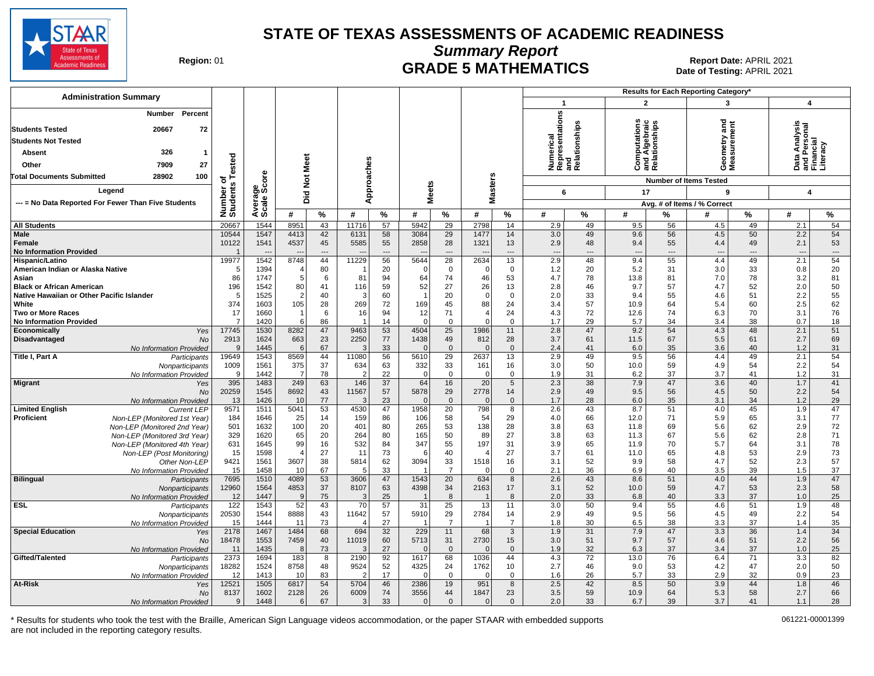

**Summary Report**

Region: 01 **Region: 01 CRADE 5 MATHEMATICS Date of Testing: APRIL 2021 Report Date: APRIL 2021** Date of Testing: APRIL 2021

| <b>Administration Summary</b>                                                 |                            |                |                 |                 |                |                |                  |                 |                   | Results for Each Reporting Category* |                                                     |                          |                          |                                              |                               |          |                                                        |                        |
|-------------------------------------------------------------------------------|----------------------------|----------------|-----------------|-----------------|----------------|----------------|------------------|-----------------|-------------------|--------------------------------------|-----------------------------------------------------|--------------------------|--------------------------|----------------------------------------------|-------------------------------|----------|--------------------------------------------------------|------------------------|
|                                                                               |                            |                |                 |                 |                |                |                  |                 |                   |                                      | $\mathbf{1}$                                        |                          | $\overline{2}$           |                                              | 3                             |          | $\boldsymbol{4}$                                       |                        |
| Percent<br>Number                                                             |                            |                |                 |                 |                |                |                  |                 |                   |                                      | resentations                                        |                          | ທ ບ                      |                                              |                               |          |                                                        |                        |
| 72<br><b>Students Tested</b><br>20667                                         |                            |                |                 |                 |                |                |                  |                 |                   |                                      |                                                     |                          |                          |                                              | and                           |          |                                                        |                        |
| <b>Students Not Tested</b>                                                    |                            |                |                 |                 |                |                |                  |                 |                   |                                      | Numerical<br>Representatior<br>and<br>Relationships |                          |                          | Computanon<br>and Algebraic<br>Relationships | ieometry and<br>leasurement   |          | Data Analysis<br>and Personal<br>Financial<br>Literacy |                        |
| 326<br>Absent<br>-1                                                           |                            |                |                 |                 |                |                |                  |                 |                   |                                      |                                                     |                          |                          |                                              |                               |          |                                                        |                        |
| 27<br>Other<br>7909                                                           | ested                      |                |                 |                 |                |                |                  |                 |                   |                                      |                                                     |                          |                          |                                              |                               |          |                                                        |                        |
| <b>Total Documents Submitted</b><br>28902<br>100                              |                            |                | <b>Not Meet</b> |                 | Approaches     |                |                  |                 |                   |                                      |                                                     |                          |                          |                                              | ŎΣ                            |          |                                                        |                        |
|                                                                               | ৳<br>Number of<br>Students | ge<br>Score    |                 |                 |                |                |                  |                 | <b>Masters</b>    |                                      |                                                     |                          |                          |                                              | <b>Number of Items Tested</b> |          |                                                        |                        |
| Legend                                                                        |                            |                | Did             |                 |                |                | <b>Meets</b>     |                 |                   |                                      | 6                                                   |                          | 17                       |                                              | 9                             |          | 4                                                      |                        |
| --- = No Data Reported For Fewer Than Five Students                           |                            | Avera<br>Scale |                 |                 |                |                |                  |                 |                   |                                      |                                                     |                          |                          |                                              | Avg. # of Items / % Correct   |          |                                                        |                        |
|                                                                               |                            |                | #               | $\%$            | #              | %              | #                | $\%$            | #                 | %                                    | #                                                   | %                        | #                        | $\frac{9}{6}$                                | #                             | %        | #                                                      | %                      |
| <b>All Students</b>                                                           | 20667                      | 1544           | 8951            | 43              | 11716          | 57             | 5942             | 29              | 2798              | 14                                   | 2.9                                                 | 49                       | 9.5                      | 56                                           | 4.5                           | 49       | 2.1                                                    | 54                     |
| <b>Male</b><br>Female                                                         | 10544<br>10122             | 1547<br>1541   | 4413<br>4537    | 42<br>45        | 6131<br>5585   | 58<br>55       | 3084<br>2858     | 29<br>28        | 1477<br>1321      | 14<br>13                             | 3.0<br>2.9                                          | 49<br>48                 | 9.6<br>9.4               | 56<br>55                                     | 4.5<br>4.4                    | 50<br>49 | 2.2<br>2.1                                             | 54<br>53               |
| <b>No Information Provided</b>                                                | $\overline{\mathbf{1}}$    |                |                 | $---$           |                | $\overline{a}$ |                  | $\overline{a}$  |                   | ---                                  | $\overline{\phantom{a}}$                            | $\overline{\phantom{a}}$ | $\overline{\phantom{a}}$ | $---$                                        | $\overline{\phantom{a}}$      | $---$    | $\overline{\phantom{a}}$                               | $\qquad \qquad \cdots$ |
| Hispanic/Latino                                                               | 19977                      | 1542           | 8748            | 44              | 11229          | 56             | 5644             | 28              | 2634              | 13                                   | 2.9                                                 | 48                       | 9.4                      | 55                                           | 4.4                           | 49       | 2.1                                                    | 54                     |
| American Indian or Alaska Native                                              | 5                          | 1394           |                 | 80              |                | 20             | $\Omega$         | $\mathbf 0$     | $\mathbf 0$       | $\mathbf{0}$                         | 1.2                                                 | 20                       | 5.2                      | 31                                           | 3.0                           | 33       | 0.8                                                    | 20                     |
| Asian                                                                         | 86                         | 1747           | 5               | 6               | 81             | 94             | 64               | 74              | 46                | 53                                   | 4.7                                                 | 78                       | 13.8                     | 81                                           | 7.0                           | 78       | 3.2                                                    | 81                     |
| <b>Black or African American</b><br>Native Hawaiian or Other Pacific Islander | 196<br>5                   | 1542<br>1525   | 80<br>2         | 41<br>40        | 116<br>3       | 59<br>60       | 52<br>-1         | 27<br>20        | 26<br>$\mathbf 0$ | 13<br>$\mathbf 0$                    | 2.8<br>2.0                                          | 46<br>33                 | 9.7<br>9.4               | 57<br>55                                     | 4.7<br>4.6                    | 52<br>51 | 2.0<br>2.2                                             | 50<br>55               |
| White                                                                         | 374                        | 1603           | 105             | 28              | 269            | 72             | 169              | 45              | 88                | 24                                   | 3.4                                                 | 57                       | 10.9                     | 64                                           | 5.4                           | 60       | 2.5                                                    | 62                     |
| <b>Two or More Races</b>                                                      | 17                         | 1660           |                 | 6               | 16             | 94             | 12               | 71              | 4                 | 24                                   | 4.3                                                 | 72                       | 12.6                     | 74                                           | 6.3                           | 70       | 3.1                                                    | 76                     |
| <b>No Information Provided</b>                                                | $\overline{7}$             | 1420           | 6               | 86              | -1             | 14             | $\Omega$         | $\Omega$        | $\Omega$          | $\mathbf 0$                          | 1.7                                                 | 29                       | 5.7                      | 34                                           | 3.4                           | 38       | 0.7                                                    | 18                     |
| Yes<br><b>Economically</b>                                                    | 17745                      | 1530           | 8282            | 47              | 9463           | 53             | 4504             | 25              | 1986              | 11                                   | 2.8                                                 | 47                       | 9.2                      | 54                                           | 4.3                           | 48       | 2.1                                                    | 51                     |
| Disadvantaged<br><b>No</b><br>No Information Provided                         | 2913<br>9                  | 1624<br>1445   | 663<br>6        | 23<br>67        | 2250           | 77<br>33       | 1438<br>$\Omega$ | 49<br>$\Omega$  | 812<br>$\Omega$   | 28<br>$\mathbf{0}$                   | 3.7<br>2.4                                          | 61<br>41                 | 11.5<br>6.0              | 67<br>35                                     | 5.5<br>3.6                    | 61<br>40 | 2.7<br>1.2                                             | 69<br>31               |
| Title I, Part A<br>Participants                                               | 19649                      | 1543           | 8569            | 44              | 11080          | 56             | 5610             | 29              | 2637              | 13                                   | 2.9                                                 | 49                       | 9.5                      | 56                                           | 4.4                           | 49       | 2.1                                                    | 54                     |
| Nonparticipants                                                               | 1009                       | 1561           | 375             | 37              | 634            | 63             | 332              | 33              | 161               | 16                                   | 3.0                                                 | 50                       | 10.0                     | 59                                           | 4.9                           | 54       | 2.2                                                    | 54                     |
| No Information Provided                                                       | 9                          | 1442           | 7               | 78              | $\overline{2}$ | 22             | $\Omega$         | $\mathbf 0$     | $\mathbf 0$       | $\mathbf{0}$                         | 1.9                                                 | 31                       | 6.2                      | 37                                           | 3.7                           | 41       | 1.2                                                    | 31                     |
| <b>Migrant</b><br>Yes<br><b>No</b>                                            | 395<br>20259               | 1483<br>1545   | 249<br>8692     | 63<br>43        | 146<br>11567   | 37<br>57       | 64<br>5878       | 16<br>29        | 20<br>2778        | 5<br>14                              | 2.3<br>2.9                                          | 38<br>49                 | 7.9<br>9.5               | 47<br>56                                     | 3.6<br>4.5                    | 40<br>50 | 1.7<br>2.2                                             | 41<br>54               |
| No Information Provided                                                       | 13                         | 1426           | 10              | 77              | $\mathcal{B}$  | 23             | $\Omega$         | $\Omega$        | $\Omega$          | $\mathbf{0}$                         | 1.7                                                 | 28                       | 6.0                      | 35                                           | 3.1                           | 34       | 1.2                                                    | 29                     |
| <b>Limited English</b><br><b>Current LEP</b>                                  | 9571                       | 1511           | 5041            | $\overline{53}$ | 4530           | 47             | 1958             | 20              | 798               | 8                                    | 2.6                                                 | 43                       | 8.7                      | 51                                           | 4.0                           | 45       | 1.9                                                    | $\overline{47}$        |
| <b>Proficient</b><br>Non-LEP (Monitored 1st Year)                             | 184                        | 1646           | 25              | 14              | 159            | 86             | 106              | 58              | 54                | 29                                   | 4.0                                                 | 66                       | 12.0                     | 71                                           | 5.9                           | 65       | 3.1                                                    | 77                     |
| Non-LEP (Monitored 2nd Year)                                                  | 501                        | 1632           | 100             | 20              | 401            | 80             | 265              | 53              | 138               | 28                                   | 3.8                                                 | 63                       | 11.8                     | 69                                           | 5.6                           | 62       | 2.9                                                    | 72                     |
| Non-LEP (Monitored 3rd Year)<br>Non-LEP (Monitored 4th Year)                  | 329<br>631                 | 1620<br>1645   | 65<br>99        | 20<br>16        | 264<br>532     | 80<br>84       | 165<br>347       | 50<br>55        | 89<br>197         | 27<br>31                             | 3.8<br>3.9                                          | 63<br>65                 | 11.3<br>11.9             | 67<br>70                                     | 5.6<br>5.7                    | 62<br>64 | 2.8<br>3.1                                             | 71<br>78               |
| Non-LEP (Post Monitoring)                                                     | 15                         | 1598           |                 | 27              | 11             | 73             | 6                | 40              | 4                 | 27                                   | 3.7                                                 | 61                       | 11.0                     | 65                                           | 4.8                           | 53       | 2.9                                                    | 73                     |
| Other Non-LEP                                                                 | 9421                       | 1561           | 3607            | 38              | 5814           | 62             | 3094             | 33              | 1518              | 16                                   | 3.1                                                 | 52                       | 9.9                      | 58                                           | 4.7                           | 52       | 2.3                                                    | 57                     |
| No Information Provided                                                       | 15                         | 1458           | 10              | 67              | .5             | 33             |                  | $\overline{7}$  | $\Omega$          | 0                                    | 2.1                                                 | 36                       | 6.9                      | 40                                           | 3.5                           | 39       | 1.5                                                    | 37                     |
| <b>Bilingual</b><br>Participants                                              | 7695<br>12960              | 1510<br>1564   | 4089<br>4853    | 53<br>37        | 3606<br>8107   | 47<br>63       | 1543<br>4398     | 20<br>34        | 634<br>2163       | 8<br>17                              | 2.6<br>3.1                                          | 43<br>52                 | 8.6<br>10.0              | 51<br>59                                     | 4.0<br>4.7                    | 44<br>53 | 1.9<br>2.3                                             | 47<br>58               |
| Nonparticipants<br>No Information Provided                                    | 12                         | 1447           | 9               | 75              | 3              | 25             |                  | 8               | -1                | 8                                    | 2.0                                                 | 33                       | 6.8                      | 40                                           | 3.3                           | 37       | 1.0                                                    | 25                     |
| <b>ESL</b><br>Participants                                                    | 122                        | 1543           | 52              | 43              | 70             | 57             | 31               | $\overline{25}$ | 13                | 11                                   | 3.0                                                 | 50                       | 9.4                      | 55                                           | 4.6                           | 51       | 1.9                                                    | 48                     |
| Nonparticipants                                                               | 20530                      | 1544           | 8888            | 43              | 11642          | 57             | 5910             | 29              | 2784              | 14                                   | 2.9                                                 | 49                       | 9.5                      | 56                                           | 4.5                           | 49       | 2.2                                                    | 54                     |
| No Information Provided                                                       | 15                         | 1444           | 11              | 73              |                | 27             |                  | $\overline{7}$  | -1                | $\overline{7}$                       | 1.8                                                 | 30                       | 6.5                      | 38                                           | 3.3                           | 37       | 1.4                                                    | 35                     |
| <b>Special Education</b><br>Yes<br><b>No</b>                                  | 2178<br>18478              | 1467<br>1553   | 1484<br>7459    | 68<br>40        | 694<br>11019   | 32<br>60       | 229<br>5713      | 11<br>31        | 68<br>2730        | 3<br>15                              | 1.9<br>3.0                                          | 31<br>51                 | 7.9<br>9.7               | 47<br>57                                     | 3.3<br>4.6                    | 36<br>51 | 1.4<br>2.2                                             | 34<br>56               |
| No Information Provided                                                       | 11                         | 1435           | 8               | 73              |                | 27             | $\Omega$         | $\mathbf{0}$    | $\Omega$          | $\mathbf{0}$                         | 1.9                                                 | 32                       | 6.3                      | 37                                           | 3.4                           | 37       | 1.0                                                    | 25                     |
| Gifted/Talented<br>Participants                                               | 2373                       | 1694           | 183             | 8               | 2190           | 92             | 1617             | 68              | 1036              | 44                                   | 4.3                                                 | 72                       | 13.0                     | 76                                           | 6.4                           | 71       | 3.3                                                    | 82                     |
| Nonparticipants                                                               | 18282                      | 1524           | 8758            | 48              | 9524           | 52             | 4325             | 24              | 1762              | 10                                   | 2.7                                                 | 46                       | 9.0                      | 53                                           | 4.2                           | 47       | 2.0                                                    | 50                     |
| No Information Provided                                                       | 12                         | 1413           | 10              | 83              |                | 17             | $\Omega$         | $\mathbf 0$     | $\Omega$          | $\mathbf 0$                          | 1.6                                                 | 26                       | 5.7                      | 33                                           | 2.9                           | 32       | 0.9                                                    | 23                     |
| <b>At-Risk</b><br>Yes<br><b>No</b>                                            | 12521<br>8137              | 1505<br>1602   | 6817<br>2128    | 54<br>26        | 5704<br>6009   | 46<br>74       | 2386<br>3556     | 19<br>44        | 951<br>1847       | 8<br>23                              | 2.5<br>3.5                                          | 42<br>59                 | 8.5<br>10.9              | 50<br>64                                     | 3.9<br>5.3                    | 44<br>58 | 1.8<br>2.7                                             | 46<br>66               |
| No Information Provided                                                       | 9                          | 1448           | 6               | 67              | 3              | 33             | $\Omega$         | $\Omega$        | $\Omega$          | $\mathbf{0}$                         | 2.0                                                 | 33                       | 6.7                      | 39                                           | 3.7                           | 41       | 1.1                                                    | 28                     |
|                                                                               |                            |                |                 |                 |                |                |                  |                 |                   |                                      |                                                     |                          |                          |                                              |                               |          |                                                        |                        |

\* Results for students who took the test with the Braille, American Sign Language videos accommodation, or the paper STAAR with embedded supports 061221-00001399 are not included in the reporting category results.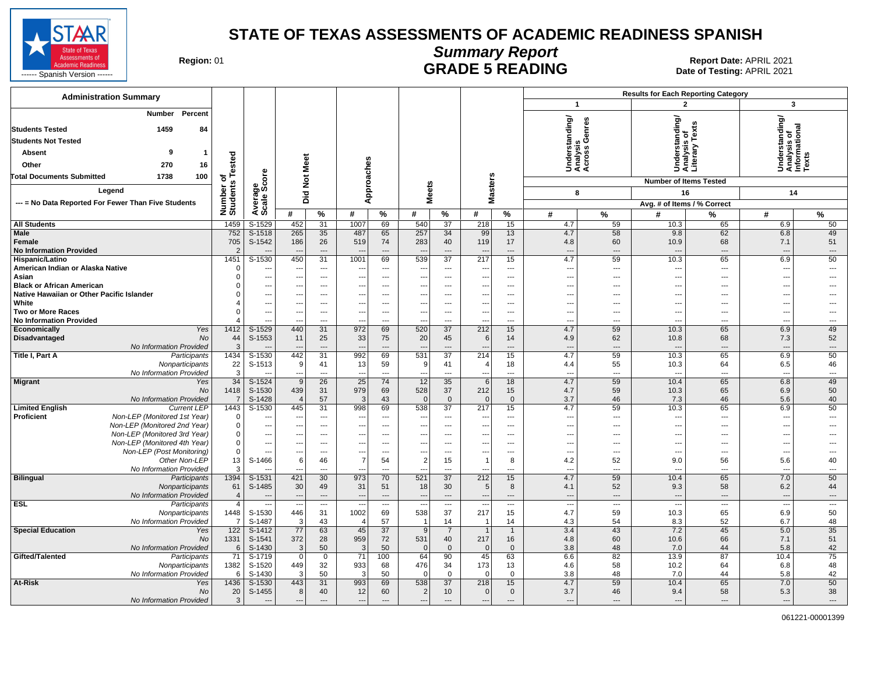

# **Summary Report**

Region: 01 **Region: 01 CONTRIGGLARGE 5 READING Report Date: APRIL 2021 Region: 01 Report Date: APRIL 2021** 

| <b>Administration Summary</b>                                              |                              |                                  |                                        |                                                      |                                        |                                      |                                            |                          |                                                      |                                                      | <b>Results for Each Reporting Category</b><br>$\mathbf{1}$ |                                               |                                   |                                 |                                                |                                            |
|----------------------------------------------------------------------------|------------------------------|----------------------------------|----------------------------------------|------------------------------------------------------|----------------------------------------|--------------------------------------|--------------------------------------------|--------------------------|------------------------------------------------------|------------------------------------------------------|------------------------------------------------------------|-----------------------------------------------|-----------------------------------|---------------------------------|------------------------------------------------|--------------------------------------------|
|                                                                            |                              |                                  |                                        |                                                      |                                        |                                      |                                            |                          |                                                      |                                                      |                                                            |                                               | $\overline{2}$                    |                                 | $\overline{\mathbf{3}}$                        |                                            |
| <b>Number</b><br>Percent<br>1459<br>84<br><b>Students Tested</b>           |                              |                                  |                                        |                                                      |                                        |                                      |                                            |                          |                                                      |                                                      | rstanding/                                                 | is<br>Genres                                  | tanding/                          | Ŷ,<br>ቴ                         | Understanding/<br>Analysis of<br>Informational |                                            |
| <b>Students Not Tested</b>                                                 |                              |                                  |                                        |                                                      |                                        |                                      |                                            |                          |                                                      |                                                      |                                                            |                                               | sis                               | ≿                               |                                                |                                            |
| 9<br>Absent<br>$\mathbf{1}$                                                |                              |                                  |                                        |                                                      |                                        |                                      |                                            |                          |                                                      |                                                      |                                                            | o v                                           | 응                                 | ieral<br>Terai                  |                                                | xts                                        |
| Other<br>270<br>16                                                         |                              |                                  |                                        |                                                      |                                        |                                      |                                            |                          |                                                      |                                                      | Under<br>Analys<br>Acros                                   |                                               | 5 & 3                             |                                 |                                                |                                            |
| <b>Total Documents Submitted</b><br>1738<br>100                            | Number of<br>Students Tested | ge<br>Score                      | <b>Not Meet</b>                        |                                                      | Approaches                             |                                      |                                            |                          |                                                      |                                                      |                                                            |                                               |                                   |                                 |                                                |                                            |
|                                                                            |                              |                                  |                                        |                                                      |                                        |                                      |                                            |                          |                                                      |                                                      |                                                            |                                               | <b>Number of Items Tested</b>     |                                 |                                                |                                            |
| Legend                                                                     |                              |                                  | Did                                    |                                                      |                                        |                                      | <b>Meets</b>                               |                          | <b>Masters</b>                                       |                                                      | 8                                                          |                                               | 16                                |                                 | 14                                             |                                            |
| --- = No Data Reported For Fewer Than Five Students                        |                              | Average:                         |                                        |                                                      |                                        |                                      |                                            |                          |                                                      |                                                      |                                                            |                                               | Avg. # of Items / % Correct       |                                 |                                                |                                            |
|                                                                            |                              |                                  | #                                      | $\%$                                                 | #                                      | $\%$                                 | #                                          | %                        | #                                                    | $\%$                                                 | #                                                          | $\%$                                          | #                                 | %                               | #                                              | %                                          |
| <b>All Students</b>                                                        | 1459                         | S-1529                           | 452                                    | 31                                                   | 1007                                   | 69                                   | 540                                        | 37                       | 218                                                  | 15                                                   | 4.7                                                        | 59                                            | 10.3                              | 65                              | 6.9                                            | 50                                         |
| <b>Male</b><br>Female<br><b>No Information Provided</b>                    | 752<br>705<br>$\overline{2}$ | $S-1518$<br>S-1542               | 265<br>186<br>$\overline{\phantom{a}}$ | 35<br>26<br>$\overline{\phantom{a}}$                 | 487<br>519<br>$\overline{\phantom{a}}$ | 65<br>74<br>$\overline{\phantom{a}}$ | 257<br>283<br>$\overline{\phantom{a}}$     | 34<br>40<br>---          | 99<br>119<br>$\qquad \qquad \cdots$                  | 13<br>17<br>$\cdots$                                 | 4.7<br>4.8<br>$\overline{\phantom{a}}$                     | 58<br>60<br>$\overline{\phantom{a}}$          | 9.8<br>10.9<br>$\overline{a}$     | 62<br>68<br>---                 | 6.8<br>7.1<br>$\overline{\phantom{a}}$         | 49<br>51<br>$\hspace{0.05cm} \ldots$       |
| Hispanic/Latino                                                            | 1451                         | $S-1530$                         | 450                                    | $\overline{31}$                                      | 1001                                   | 69                                   | 539                                        | 37                       | 217                                                  | 15                                                   | 4.7                                                        | 59                                            | 10.3                              | 65                              | 6.9                                            | 50                                         |
| American Indian or Alaska Native                                           | $\Omega$                     | $\sim$                           | ---                                    | $\overline{\phantom{a}}$                             | --                                     | ---                                  | ---                                        | ---                      | $\overline{\phantom{a}}$                             | $\overline{\phantom{a}}$                             | $\overline{\phantom{a}}$                                   | ---                                           | $\overline{\phantom{a}}$          | ---                             | ---                                            | $\overline{\phantom{a}}$                   |
| Asian                                                                      | $\Omega$                     | $\overline{\phantom{a}}$         | ---                                    | $\hspace{0.05cm} \ldots$                             | --                                     | ---                                  | $\overline{\phantom{a}}$                   | ---                      | $\overline{\phantom{a}}$                             | $---$                                                | $\overline{\phantom{a}}$                                   | $---$                                         | $\overline{a}$                    | ---                             | ---                                            | ---                                        |
| <b>Black or African American</b>                                           | $\Omega$                     | $\overline{\phantom{a}}$         | ---                                    | $\hspace{0.05cm} \ldots$                             | ---                                    | $\overline{\phantom{a}}$             | $\overline{\phantom{a}}$                   | $---$                    | ---                                                  | $\overline{\phantom{a}}$                             | $\overline{\phantom{a}}$                                   | ---                                           | $\overline{\phantom{a}}$          | ---                             | ---                                            | $---$                                      |
| Native Hawaiian or Other Pacific Islander<br>White                         | $\Omega$<br>$\overline{4}$   | $\overline{\phantom{a}}$         | ---<br>---                             | $\overline{\phantom{a}}$<br>$\hspace{0.05cm} \ldots$ | --<br>---                              | $---$<br>$\sim$ $\sim$               | $\overline{\phantom{a}}$<br>$\overline{a}$ | ---<br>$---$             | $\overline{\phantom{a}}$<br>---                      | $---$<br>$---$                                       | $\overline{a}$<br>$\sim$                                   | $---$<br>---                                  | ---<br>$---$                      | ---<br>---                      | ---<br>---                                     | ---                                        |
| <b>Two or More Races</b><br><b>No Information Provided</b>                 | $\Omega$<br>$\Delta$         | $\overline{a}$<br>$\overline{a}$ | ---<br>---                             | $\overline{\phantom{a}}$<br>$\hspace{0.05cm} \ldots$ | $\overline{\phantom{a}}$<br>---        | $\sim$<br>$\sim$                     | ---<br>$\overline{a}$                      | ---<br>---               | $\overline{a}$<br>$\overline{\phantom{a}}$           | $\overline{\phantom{a}}$<br>$\overline{\phantom{a}}$ | $\overline{\phantom{a}}$<br>$\overline{\phantom{a}}$       | $---$<br>$---$                                | $\overline{\phantom{a}}$<br>$---$ | ---<br>---                      | ---<br>---                                     | $\overline{a}$<br>$\overline{\phantom{a}}$ |
| Economically<br>Yes                                                        | 1412                         | $S-1529$                         | 440                                    | 31                                                   | 972                                    | 69                                   | 520                                        | 37                       | 212                                                  | 15                                                   | 4.7                                                        | 59                                            | 10.3                              | 65                              | 6.9                                            | 49                                         |
| Disadvantaged<br>No                                                        | 44                           | S-1553                           | 11                                     | 25                                                   | 33                                     | 75                                   | 20                                         | 45                       | 6                                                    | 14                                                   | 4.9                                                        | 62                                            | 10.8                              | 68                              | 7.3                                            | 52                                         |
| No Information Provided                                                    | 3                            |                                  |                                        | $---$                                                | $\sim$                                 |                                      |                                            | ---                      |                                                      | $\overline{a}$                                       | $-$                                                        | $---$                                         |                                   | ---                             | ---                                            | $\overline{\phantom{a}}$                   |
| Title I, Part A<br>Participants                                            | 1434                         | S-1530                           | 442<br>9                               | 31                                                   | 992                                    | 69                                   | 531                                        | 37                       | 214                                                  | 15                                                   | 4.7                                                        | 59                                            | 10.3                              | 65                              | 6.9                                            | 50                                         |
| Nonparticipants<br>No Information Provided                                 | 22<br>3                      | S-1513                           | $\overline{\phantom{a}}$               | 41<br>$---$                                          | 13<br>$\overline{\phantom{a}}$         | 59<br>$\sim$                         | 9<br>$\overline{a}$                        | 41<br>$---$              | $\overline{4}$<br>$\overline{a}$                     | 18<br>$---$                                          | 4.4<br>$-$                                                 | 55<br>$---$                                   | 10.3<br>$\overline{a}$            | 64<br>$\overline{a}$            | 6.5<br>$\overline{\phantom{a}}$                | 46<br>$\overline{\phantom{a}}$             |
| <b>Migrant</b><br>Yes                                                      | 34                           | $S-1524$                         | $\overline{9}$                         | $\overline{26}$                                      | 25                                     | 74                                   | 12                                         | 35                       | 6                                                    | 18                                                   | 4.7                                                        | 59                                            | 10.4                              | 65                              | 6.8                                            | 49                                         |
| <b>No</b>                                                                  | 1418                         | S-1530                           | 439                                    | 31                                                   | 979                                    | 69                                   | 528                                        | 37                       | 212                                                  | 15                                                   | 4.7                                                        | 59                                            | 10.3                              | 65                              | 6.9                                            | 50                                         |
| No Information Provided                                                    | $\overline{7}$               | S-1428                           | $\overline{4}$                         | 57                                                   | 3                                      | 43                                   | $\mathbf{0}$                               | $\mathbf{0}$             | $\mathbf{0}$                                         | $\mathbf 0$                                          | 3.7                                                        | 46                                            | 7.3                               | 46                              | 5.6                                            | 40                                         |
| <b>Limited English</b><br><b>Current LEP</b>                               | 1443<br>$\mathbf 0$          | S-1530                           | 445                                    | 31                                                   | 998                                    | 69                                   | 538                                        | $\overline{37}$          | 217                                                  | 15                                                   | 4.7                                                        | 59                                            | 10.3                              | 65                              | 6.9                                            | 50                                         |
| Proficient<br>Non-LEP (Monitored 1st Year)<br>Non-LEP (Monitored 2nd Year) | $\mathsf 0$                  | ---                              | ---<br>---                             | $\hspace{0.05cm} \ldots$<br>$\overline{a}$           | --<br>---                              | ---<br>$\sim$                        | $\overline{\phantom{a}}$                   | $\qquad \qquad -$<br>--- | $\overline{\phantom{a}}$<br>$\overline{\phantom{a}}$ | $\hspace{0.05cm} \ldots$<br>$\overline{\phantom{a}}$ | $\overline{\phantom{a}}$<br>$\sim$                         | $\qquad \qquad -$<br>$\overline{\phantom{a}}$ | ---<br>$\overline{a}$             | $\hspace{0.05cm} \ldots$<br>--- | ---<br>---                                     | $\overline{\phantom{a}}$<br>$---$          |
| Non-LEP (Monitored 3rd Year)                                               | $\mathsf 0$                  | $\overline{\phantom{a}}$         | ---                                    | $\overline{\phantom{a}}$                             | --                                     | $\sim$                               | $\overline{\phantom{a}}$                   | ---                      | $\overline{\phantom{a}}$                             | $---$                                                | $\overline{\phantom{a}}$                                   | $---$                                         | ---                               | ---                             | ---                                            |                                            |
| Non-LEP (Monitored 4th Year)                                               | $\mathsf 0$                  | $\overline{\phantom{a}}$         | ---                                    | ---                                                  | --                                     | ---                                  | $\overline{\phantom{a}}$                   | ---                      | $\overline{\phantom{a}}$                             | $---$                                                | $\overline{\phantom{a}}$                                   | ---                                           | ---                               | ---                             | ---                                            |                                            |
| Non-LEP (Post Monitoring)                                                  | $\mathbf 0$                  | $\sim$                           | ---                                    | $\overline{a}$                                       | --                                     | $\overline{a}$                       | $\overline{\phantom{a}}$                   | ---                      | $\overline{\phantom{a}}$                             | $\overline{\phantom{a}}$                             | $\overline{\phantom{a}}$                                   | $\overline{\phantom{a}}$                      | $\overline{\phantom{a}}$          | ---                             | ---                                            | $---$                                      |
| Other Non-LEP                                                              | 13                           | S-1466                           | 6                                      | 46                                                   | $\overline{7}$                         | 54                                   | $\overline{2}$                             | 15                       | $\overline{1}$                                       | 8                                                    | 4.2                                                        | 52                                            | 9.0                               | 56                              | 5.6                                            | 40                                         |
| No Information Provided<br><b>Bilingual</b><br>Participants                | 3<br>1394                    | $S-1531$                         | 421                                    | $\sim$<br>30                                         | --<br>973                              | $\overline{a}$<br>70                 | 521                                        | ---<br>$\overline{37}$   | $\overline{\phantom{a}}$<br>212                      | $\overline{a}$<br>15                                 | $\overline{a}$<br>4.7                                      | $\overline{a}$<br>59                          | $\overline{a}$<br>10.4            | ---<br>65                       | ---<br>7.0                                     | $\overline{\phantom{a}}$<br>50             |
| Nonparticipants                                                            | 61                           | S-1485                           | 30                                     | 49                                                   | 31                                     | 51                                   | 18                                         | 30                       | 5                                                    | 8                                                    | 4.1                                                        | 52                                            | 9.3                               | 58                              | 6.2                                            | 44                                         |
| No Information Provided                                                    | $\overline{4}$               |                                  | ---                                    | $\overline{\phantom{a}}$                             | $\overline{\phantom{a}}$               | $\overline{\phantom{a}}$             | $\overline{a}$                             | $---$                    | $\overline{a}$                                       | ---                                                  | $\overline{\phantom{a}}$                                   | $\overline{\phantom{a}}$                      | $\overline{a}$                    | ---                             | $\overline{\phantom{a}}$                       | $\overline{\phantom{a}}$                   |
| <b>ESL</b><br>Participants                                                 | $\overline{4}$               |                                  |                                        | $\overline{\phantom{a}}$                             | $\overline{\phantom{a}}$               | $\overline{\phantom{a}}$             | Щ,                                         | $\overline{\phantom{a}}$ |                                                      |                                                      | $\overline{\phantom{a}}$                                   |                                               |                                   | ---                             | ---                                            |                                            |
| Nonparticipants                                                            | 1448                         | S-1530                           | 446                                    | 31                                                   | 1002                                   | 69                                   | 538                                        | 37                       | 217                                                  | 15                                                   | 4.7                                                        | 59                                            | 10.3                              | 65                              | 6.9                                            | 50                                         |
| No Information Provided                                                    | $\overline{7}$<br>122        | S-1487                           | 3<br>77                                | 43                                                   | $\overline{4}$<br>45                   | 57<br>$\overline{37}$                |                                            | 14                       |                                                      | 14                                                   | 4.3<br>3.4                                                 | 54                                            | 8.3<br>7.2                        | 52<br>45                        | 6.7                                            | 48                                         |
| <b>Special Education</b><br>Yes<br>No                                      | 1331                         | S-1412<br>S-1541                 | 372                                    | 63<br>28                                             | 959                                    | 72                                   | 9<br>531                                   | $\overline{7}$<br>40     | $\overline{1}$<br>217                                | $\mathbf{1}$<br>16                                   | 4.8                                                        | 43<br>60                                      | 10.6                              | 66                              | 5.0<br>7.1                                     | $\overline{35}$<br>51                      |
| No Information Provided                                                    | 6                            | S-1430                           | $\mathbf{3}$                           | 50                                                   | $\mathbf{3}$                           | 50                                   | $\overline{0}$                             | $\mathbf{0}$             | $\mathbf{0}$                                         | $\mathbf{0}$                                         | 3.8                                                        | 48                                            | 7.0                               | 44                              | 5.8                                            | 42                                         |
| Gifted/Talented<br>Participants                                            | 71                           | S-1719                           | $\overline{0}$                         | $\mathbf 0$                                          | $\overline{71}$                        | 100                                  | 64                                         | 90                       | 45                                                   | 63                                                   | 6.6                                                        | 82                                            | 13.9                              | 87                              | 10.4                                           | 75                                         |
| Nonparticipants                                                            | 1382                         | S-1520                           | 449                                    | 32                                                   | 933                                    | 68                                   | 476                                        | 34                       | 173                                                  | 13                                                   | 4.6                                                        | 58                                            | 10.2                              | 64                              | 6.8                                            | 48                                         |
| No Information Provided                                                    | 6                            | S-1430                           | 3                                      | 50                                                   | 3                                      | 50                                   | $\Omega$                                   | $\Omega$                 | $\Omega$                                             | $\Omega$                                             | 3.8                                                        | 48                                            | 7.0                               | 44                              | 5.8                                            | 42                                         |
| At-Risk<br>Yes<br>No                                                       | 1436<br>20                   | S-1530<br>S-1455                 | 443<br>8                               | 31<br>40                                             | 993<br>12                              | 69<br>60                             | 538<br>$\overline{2}$                      | 37<br>10                 | 218<br>$\mathbf{0}$                                  | 15<br>$\mathbf 0$                                    | 4.7<br>3.7                                                 | 59<br>46                                      | 10.4<br>9.4                       | 65<br>58                        | 7.0<br>5.3                                     | 50<br>38                                   |
| No Information Provided                                                    | 3                            |                                  | …                                      | $\overline{a}$                                       | $\overline{\phantom{a}}$               | $\overline{\phantom{a}}$             | $\overline{a}$                             | $\overline{\phantom{a}}$ | $\overline{a}$                                       | ---                                                  | $\overline{\phantom{a}}$                                   | $\overline{a}$                                | $\overline{a}$                    | ---                             | ---                                            | $---$                                      |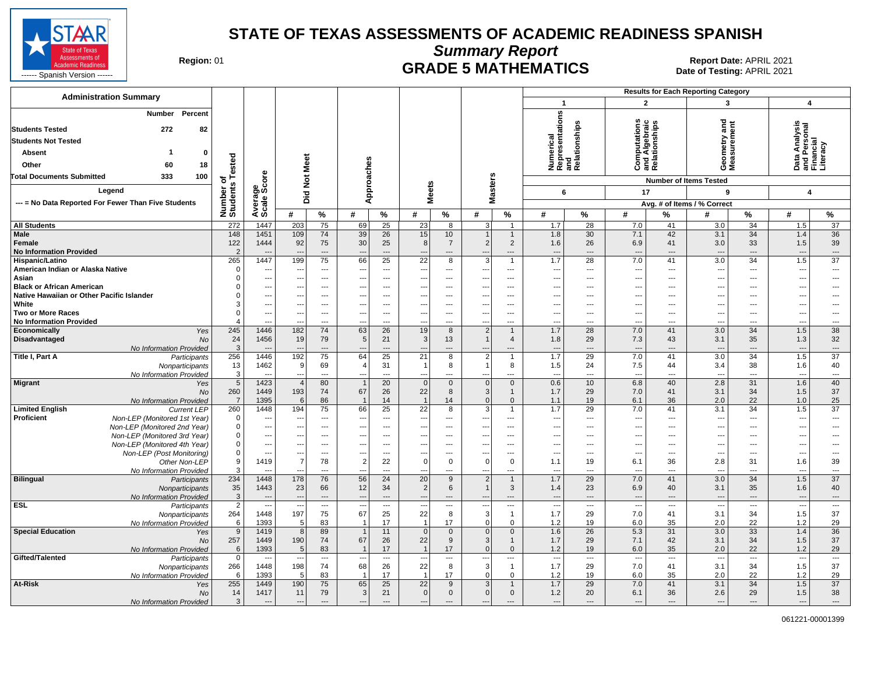

**Summary Report**

Region: 01 **Region: 01 CRADE 5 MATHEMATICS Date of Testing: APRIL 2021 Report Date: APRIL 2021** 

| <b>Administration Summary</b>                                                              |                       |                                    |                                 |                                          |                                |                                          |                                 |                    |                                                      | <b>Results for Each Reporting Category</b> |                                                      |                                |                                 |                                              |                                 |                                  |                                                        |                                |
|--------------------------------------------------------------------------------------------|-----------------------|------------------------------------|---------------------------------|------------------------------------------|--------------------------------|------------------------------------------|---------------------------------|--------------------|------------------------------------------------------|--------------------------------------------|------------------------------------------------------|--------------------------------|---------------------------------|----------------------------------------------|---------------------------------|----------------------------------|--------------------------------------------------------|--------------------------------|
|                                                                                            |                       |                                    |                                 |                                          |                                |                                          |                                 |                    |                                                      |                                            | $\mathbf{1}$                                         |                                | $\overline{2}$                  |                                              | $\mathbf{3}$                    |                                  | $\overline{4}$                                         |                                |
| Percent<br>Number<br><b>Students Tested</b><br>272<br>82                                   |                       |                                    |                                 |                                          |                                |                                          |                                 |                    |                                                      |                                            | Numerical<br>Representations<br>and<br>Relationships |                                |                                 | Computanon<br>and Algebraic<br>Relationships | and                             | ent                              | Data Analysis<br>and Personal<br>Financial<br>Literacy |                                |
|                                                                                            |                       |                                    |                                 |                                          |                                |                                          |                                 |                    |                                                      |                                            |                                                      |                                |                                 |                                              |                                 |                                  |                                                        |                                |
| <b>Students Not Tested</b>                                                                 |                       |                                    |                                 |                                          |                                |                                          |                                 |                    |                                                      |                                            |                                                      |                                |                                 |                                              | ieometry a<br>leasuremo         |                                  |                                                        |                                |
| Absent<br>-1<br>$\mathbf{0}$                                                               |                       |                                    |                                 |                                          |                                |                                          |                                 |                    |                                                      |                                            |                                                      |                                |                                 |                                              |                                 |                                  |                                                        |                                |
| Other<br>60<br>18                                                                          | ested                 |                                    |                                 |                                          |                                |                                          |                                 |                    |                                                      |                                            |                                                      |                                |                                 |                                              | ÓΣ                              |                                  |                                                        |                                |
| <b>Total Documents Submitted</b><br>333<br>100                                             | ↽⊢<br>ō               | ge<br>Score                        | <b>Not Meet</b>                 |                                          | Approaches                     |                                          |                                 |                    |                                                      |                                            |                                                      |                                |                                 |                                              | <b>Number of Items Tested</b>   |                                  |                                                        |                                |
| Legend                                                                                     |                       |                                    |                                 |                                          |                                |                                          | <b>Meets</b>                    |                    | <b>Masters</b>                                       |                                            | 6                                                    |                                | 17                              |                                              | 9                               |                                  | $\overline{4}$                                         |                                |
| --- = No Data Reported For Fewer Than Five Students                                        |                       |                                    | Did                             |                                          |                                |                                          |                                 |                    |                                                      |                                            |                                                      |                                |                                 |                                              | Avg. # of Items / % Correct     |                                  |                                                        |                                |
|                                                                                            | Number o<br>Students  | Averag<br>Scale                    | #                               | $\%$                                     | #                              | $\%$                                     | #                               | $\%$               | #                                                    | $\%$                                       | #                                                    | %                              | #                               | %                                            | #                               | $\%$                             | #                                                      | $\%$                           |
| <b>All Students</b>                                                                        | 272                   | 1447                               | 203                             | 75                                       | 69                             | $\overline{25}$                          | 23                              | 8                  | 3 <sup>1</sup>                                       | $\overline{1}$                             | 1.7                                                  | 28                             | 7.0                             | 41                                           | 3.0                             | $\overline{34}$                  | 1.5                                                    | 37                             |
| Male                                                                                       | 148                   | 1451                               | 109                             | 74                                       | 39                             | 26                                       | 15                              | 10                 | $\mathbf{1}$                                         | $\overline{1}$                             | 1.8                                                  | 30                             | 7.1                             | 42                                           | 3.1                             | 34                               | 1.4                                                    | 36                             |
| Female                                                                                     | 122                   | 1444                               | 92                              | 75                                       | 30                             | 25                                       | 8                               | $\overline{7}$     | $2\vert$                                             | 2                                          | 1.6                                                  | 26                             | 6.9                             | 41                                           | 3.0                             | 33                               | 1.5                                                    | 39                             |
| <b>No Information Provided</b>                                                             | $\overline{2}$        |                                    | <b>.</b>                        | ---                                      |                                | $---$                                    | ٠.                              | ---                | ---                                                  | ---                                        | $\overline{\phantom{a}}$                             | ---                            | ---                             | $\hspace{0.05cm} \ldots$                     | $\overline{\phantom{a}}$        | $\cdots$                         | $\overline{\phantom{a}}$                               | $\hspace{0.05cm} \ldots$       |
| Hispanic/Latino                                                                            | 265<br>$\Omega$       | 1447                               | 199                             | 75                                       | 66                             | 25                                       | 22                              | 8                  | 3                                                    | $\overline{1}$                             | 1.7                                                  | 28<br>$\overline{\phantom{a}}$ | 7.0                             | 41                                           | 3.0                             | 34                               | 1.5                                                    | $\overline{37}$<br>---         |
| American Indian or Alaska Native<br>Asian                                                  | $\Omega$              | ---<br>$\ldots$                    | $\overline{\phantom{a}}$<br>--- | $---$<br>$\cdots$                        | $- -$<br>---                   | $---$<br>$\sim$ $\sim$                   | $\overline{\phantom{a}}$<br>--- | $---$<br>---       | ---<br>---                                           | $---$<br>$---$                             | $\overline{\phantom{a}}$<br>$\overline{\phantom{a}}$ | $---$                          | $---$<br>$\qquad \qquad \cdots$ | $---$<br>$---$                               | $\sim$<br>---                   | $---$<br>$---$                   | ---<br>---                                             | ---                            |
| <b>Black or African American</b>                                                           |                       | $\overline{a}$                     | $\overline{\phantom{a}}$        | $---$                                    |                                | $---$                                    | $\sim$                          | $\overline{a}$     | ---                                                  | $\overline{a}$                             | $\overline{\phantom{a}}$                             | $---$                          | $\overline{\phantom{a}}$        | $---$                                        | $\overline{a}$                  | $---$                            | ---                                                    | ---                            |
| Native Hawaiian or Other Pacific Islander                                                  |                       | $\hspace{0.05cm} \ldots$           | ---                             | ---                                      | ---                            | $---$                                    | ---                             | ---                | ---                                                  | $---$                                      | $\overline{\phantom{a}}$                             | $---$                          | $---$                           | $---$                                        | ---                             | $---$                            | ---                                                    | ---                            |
| White                                                                                      |                       | $\qquad \qquad \cdots$             | ---                             | ---                                      |                                | ---                                      | --                              | ---                | ---                                                  | ---                                        | $\overline{\phantom{a}}$                             | ---                            | $\qquad \qquad \cdots$          | ---                                          | ---                             | ---                              | ⊷                                                      | ---                            |
| <b>Two or More Races</b><br><b>No Information Provided</b>                                 | $\Omega$              | $\hspace{0.05cm} \ldots$<br>$\sim$ | ---                             | $\qquad \qquad \cdots$<br>$\overline{a}$ | ---                            | $\qquad \qquad \cdots$<br>$\overline{a}$ | $\overline{\phantom{a}}$        | ---<br>---         | $\overline{\phantom{a}}$<br>$\overline{\phantom{a}}$ | ---<br>---                                 | $\overline{\phantom{a}}$<br>$\sim$                   | ---<br>$\overline{a}$          | $\qquad \qquad \cdots$<br>$---$ | $\overline{\phantom{a}}$<br>$\overline{a}$   | ---<br>$\overline{a}$           | $\overline{a}$<br>$\overline{a}$ | $\overline{\phantom{a}}$<br>$\sim$                     | ---<br>$\overline{a}$          |
| Economically<br>Yes                                                                        | 245                   | 1446                               | 182                             | 74                                       | 63                             | 26                                       | 19                              | 8                  | $\overline{2}$                                       | $\mathbf{1}$                               | 1.7                                                  | 28                             | 7.0                             | 41                                           | 3.0                             | 34                               | 1.5                                                    | 38                             |
| Disadvantaged<br><b>No</b>                                                                 | 24                    | 1456                               | 19                              | 79                                       | 5                              | 21                                       | $\mathbf{3}$                    | 13                 | $\mathbf{1}$                                         | $\overline{4}$                             | 1.8                                                  | 29                             | 7.3                             | 43                                           | 3.1                             | 35                               | 1.3                                                    | 32                             |
| No Information Provided                                                                    | $\overline{3}$        |                                    |                                 | ---                                      |                                | $\overline{a}$                           |                                 | ---                |                                                      | ---                                        | $\overline{\phantom{a}}$                             | $\overline{a}$                 | $\overline{\phantom{a}}$        |                                              | $\overline{\phantom{a}}$        | $\overline{a}$                   | ---                                                    | $\hspace{0.05cm} \ldots$       |
| <b>Title I, Part A</b><br>Participants                                                     | 256<br>13             | 1446<br>1462                       | 192<br>9                        | 75<br>69                                 | 64<br>$\overline{4}$           | 25<br>31                                 | 21                              | 8<br>8             | $\overline{2}$<br>$\mathbf{1}$                       | $\overline{1}$<br>8                        | 1.7<br>1.5                                           | 29<br>24                       | 7.0<br>7.5                      | 41<br>44                                     | 3.0<br>3.4                      | 34<br>38                         | 1.5<br>1.6                                             | $\overline{37}$<br>40          |
| Nonparticipants<br>No Information Provided                                                 | 3                     | $\overline{a}$                     |                                 | ---                                      |                                | $---$                                    |                                 | ---                | ---                                                  | ---                                        | ---                                                  | ---                            | $\overline{a}$                  | $---$                                        | $\overline{\phantom{a}}$        | $\overline{\phantom{a}}$         | $\overline{\phantom{a}}$                               | $\hspace{0.05cm} \ldots$       |
| <b>Migrant</b><br>Yes                                                                      | 5                     | 1423                               | $\overline{4}$                  | 80                                       | $\overline{1}$                 | 20                                       | $\Omega$                        | $\mathbf{0}$       | $\Omega$                                             | $\mathbf{0}$                               | 0.6                                                  | 10                             | 6.8                             | 40                                           | 2.8                             | 31                               | 1.6                                                    | 40                             |
| <b>No</b>                                                                                  | 260                   | 1449                               | 193                             | 74                                       | 67                             | 26                                       | 22                              | 8                  | 3                                                    | $\mathbf{1}$                               | 1.7                                                  | 29                             | 7.0                             | 41                                           | 3.1                             | 34                               | 1.5                                                    | 37                             |
| No Information Provided                                                                    | $\overline{7}$        | 1395                               | 6                               | 86                                       | $\overline{\mathbf{1}}$        | 14                                       |                                 | 14                 | $\overline{0}$                                       | $\mathbf{0}$                               | 1.1                                                  | 19                             | 6.1                             | 36                                           | 2.0                             | 22                               | 1.0                                                    | 25                             |
| <b>Limited English</b><br><b>Current LEP</b><br>Proficient<br>Non-LEP (Monitored 1st Year) | 260<br>$\Omega$       | 1448<br>$\overline{a}$             | 194                             | 75<br>$\cdots$                           | 66                             | 25<br>$\overline{\phantom{a}}$           | 22<br>$\overline{\phantom{a}}$  | 8<br>---           | 3 <sup>1</sup><br>---                                | $\overline{1}$<br>---                      | 1.7<br>---                                           | 29<br>---                      | 7.0<br>---                      | 41<br>---                                    | 3.1<br>$\overline{a}$           | 34<br>$\cdots$                   | 1.5<br>---                                             | 37<br>$\overline{\phantom{a}}$ |
| Non-LEP (Monitored 2nd Year)                                                               | $\Omega$              | $\overline{\phantom{a}}$           | ---                             | $\overline{a}$                           |                                | ---                                      | ---                             | ---                | ---                                                  | ---                                        | ---                                                  | ---                            | ---                             | ---                                          |                                 | $\overline{a}$                   | ⊷                                                      | ---                            |
| Non-LEP (Monitored 3rd Year)                                                               | $\Omega$              | $\overline{\phantom{a}}$           | $\overline{a}$                  | $\cdots$                                 |                                | $\overline{a}$                           | ---                             | ---                | ---                                                  | ---                                        | ---                                                  | ---                            | $\overline{\phantom{a}}$        | ---                                          | ÷.,                             | $\overline{a}$                   | …                                                      | ---                            |
| Non-LEP (Monitored 4th Year)                                                               | $\Omega$              | ---                                |                                 | ---                                      |                                | ---                                      |                                 | ---                | ---                                                  | ---                                        | $\overline{\phantom{a}}$                             | ---                            | $\overline{\phantom{a}}$        | ---                                          |                                 | $\overline{a}$                   | ⊷                                                      | ---                            |
| Non-LEP (Post Monitoring)                                                                  | $\Omega$<br>9         | $\hspace{0.05cm} \ldots$           | ---                             | $\overline{\phantom{a}}$                 |                                | ---                                      | ---<br>$\Omega$                 | ---                | ---                                                  | ---                                        | $\overline{\phantom{a}}$                             | ---                            | $\overline{\phantom{a}}$        | $\overline{a}$                               | $\sim$                          | ---                              | ---                                                    | ---                            |
| Other Non-LEP<br>No Information Provided                                                   |                       | 1419                               | $\overline{7}$                  | 78<br>---                                | $\overline{2}$                 | 22<br>---                                |                                 | $\mathbf 0$<br>--- | $\overline{0}$<br>---                                | $\mathbf 0$<br>---                         | 1.1<br>$\overline{\phantom{a}}$                      | 19<br>$\overline{a}$           | 6.1<br>$\overline{a}$           | 36                                           | 2.8<br>$\overline{a}$           | 31<br>$\overline{a}$             | 1.6<br>---                                             | 39<br>$\overline{\phantom{a}}$ |
| <b>Bilingual</b><br>Participants                                                           | 234                   | 1448                               | 178                             | 76                                       | 56                             | 24                                       | 20                              | 9                  | $\overline{2}$                                       | $\mathbf{1}$                               | 1.7                                                  | 29                             | $7.0\,$                         | 41                                           | 3.0                             | 34                               | 1.5                                                    | 37                             |
| Nonparticipants                                                                            | 35                    | 1443                               | 23                              | 66                                       | 12                             | 34                                       | $\overline{2}$                  | 6                  | $\mathbf{1}$                                         | 3                                          | 1.4                                                  | 23                             | 6.9                             | 40                                           | 3.1                             | 35                               | 1.6                                                    | 40                             |
| No Information Provided                                                                    | $\mathbf{3}$          | $\overline{a}$                     | $\overline{\phantom{a}}$        | $\overline{a}$                           |                                | $\overline{a}$                           |                                 | ---                | $\overline{a}$                                       | ---                                        | $\overline{a}$                                       | $\overline{\phantom{a}}$       | $\overline{\phantom{a}}$        | $\overline{a}$                               | $\sim$                          | $\overline{a}$                   | $\overline{\phantom{a}}$                               | ---                            |
| <b>ESL</b><br>Participants                                                                 | $\overline{2}$<br>264 | $\hspace{0.05cm} \ldots$<br>1448   | $\overline{\phantom{a}}$<br>197 | $\scriptstyle\cdots$<br>75               | $\overline{\phantom{a}}$<br>67 | $\hspace{0.05cm} \ldots$<br>25           | ---<br>22                       | ---<br>8           | $\overline{\phantom{a}}$<br>$\mathbf{3}$             | $\ldots$<br>$\mathbf{1}$                   | $\sim$<br>1.7                                        | ---<br>29                      | $\sim$<br>7.0                   | $\hspace{0.05cm} \ldots$<br>41               | $\sim$<br>3.1                   | ---<br>34                        | $\overline{\phantom{a}}$<br>1.5                        | $\cdots$<br>37                 |
| Nonparticipants<br>No Information Provided                                                 | 6                     | 1393                               | 5                               | 83                                       | $\overline{1}$                 | 17                                       |                                 | 17                 | $\overline{0}$                                       | $\mathbf 0$                                | 1.2                                                  | 19                             | 6.0                             | 35                                           | 2.0                             | 22                               | 1.2                                                    | 29                             |
| <b>Special Education</b><br>Yes                                                            | 9                     | 1419                               | 8                               | 89                                       | $\overline{1}$                 | 11                                       | $\Omega$                        | $\mathbf 0$        | $\Omega$                                             | $\mathbf 0$                                | 1.6                                                  | $\overline{26}$                | 5.3                             | 31                                           | 3.0                             | 33                               | 1.4                                                    | 36                             |
| No                                                                                         | 257                   | 1449                               | 190                             | 74                                       | 67                             | 26                                       | 22                              | 9                  | 3 <sup>2</sup>                                       | $\mathbf{1}$                               | 1.7                                                  | 29                             | 7.1                             | 42                                           | 3.1                             | 34                               | 1.5                                                    | 37                             |
| No Information Provided                                                                    | 6                     | 1393                               | 5                               | 83                                       | $\overline{1}$                 | 17                                       |                                 | 17                 | $\Omega$                                             | $\mathbf 0$                                | 1.2                                                  | 19                             | 6.0                             | 35                                           | 2.0                             | 22                               | 1.2                                                    | 29                             |
| Gifted/Talented<br>Participants<br>Nonparticipants                                         | $\overline{0}$<br>266 | $\overline{a}$<br>1448             | $\overline{\phantom{a}}$<br>198 | $\overline{\phantom{a}}$<br>74           | $\overline{\phantom{a}}$<br>68 | $\overline{a}$<br>26                     | $\overline{\phantom{a}}$<br>22  | ---<br>8           | $\overline{\phantom{a}}$<br>$\mathbf{3}$             | ---<br>$\overline{1}$                      | $\overline{\phantom{a}}$<br>1.7                      | $\sim$<br>29                   | $\sim$<br>7.0                   | $\overline{\phantom{a}}$<br>41               | $\overline{\phantom{a}}$<br>3.1 | $\overline{\phantom{a}}$<br>34   | $\overline{\phantom{a}}$<br>1.5                        | $\sim$<br>37                   |
| No Information Provided                                                                    | 6                     | 1393                               | 5                               | 83                                       | $\overline{1}$                 | 17                                       |                                 | 17                 | $\overline{0}$                                       | $\mathbf 0$                                | $1.2$                                                | 19                             | 6.0                             | 35                                           | 2.0                             | 22                               | 1.2                                                    | 29                             |
| At-Risk<br>Yes                                                                             | 255                   | 1449                               | 190                             | 75                                       | 65                             | 25                                       | 22                              | 9                  | 3 <sup>2</sup>                                       | $\overline{1}$                             | 1.7                                                  | $\overline{29}$                | 7.0                             | 41                                           | 3.1                             | 34                               | 1.5                                                    | $\overline{37}$                |
| No                                                                                         | 14                    | 1417                               | 11                              | 79                                       | 3                              | 21                                       | $\overline{0}$                  | $\mathbf 0$        | $\overline{0}$                                       | $\mathbf 0$                                | 1.2                                                  | 20                             | 6.1                             | 36                                           | 2.6                             | 29                               | 1.5                                                    | 38                             |
| No Information Provided                                                                    | $\mathbf{3}$          | $\overline{a}$                     | $\overline{\phantom{a}}$        | $\overline{\phantom{a}}$                 |                                | $\overline{a}$                           | $\overline{a}$                  | ---                |                                                      | ---                                        | $\overline{\phantom{a}}$                             | $\overline{\phantom{a}}$       | $\overline{\phantom{a}}$        | ---                                          | $\sim$                          | $\overline{a}$                   | $\overline{a}$                                         | ---                            |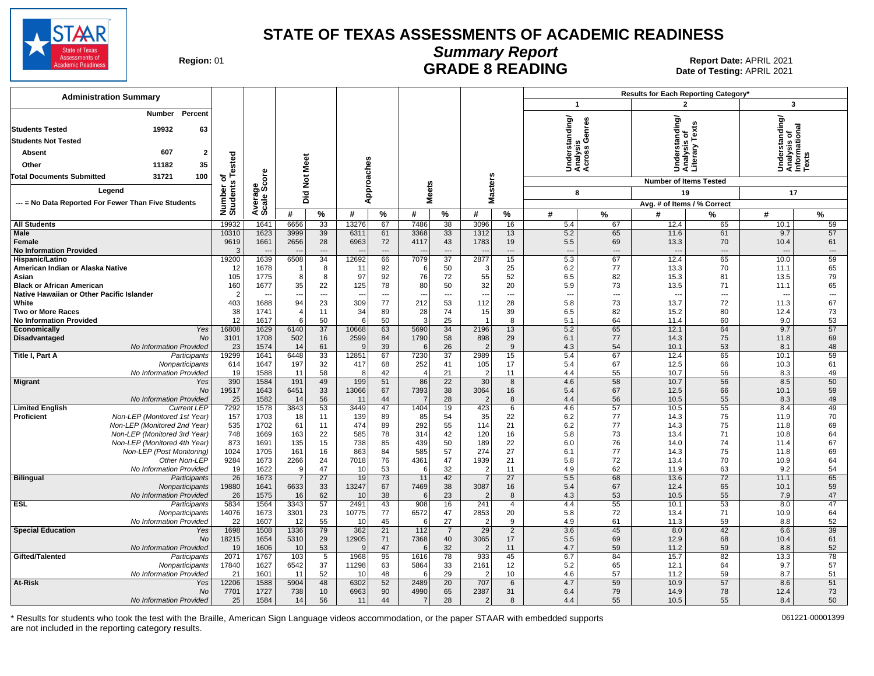

# **Summary Report**

Region: 01 **Region: 01 CONTRIGGLARGE 8 READING Report Date: APRIL 2021 Region: 01 Report Date: APRIL 2021** Date of Testing: APRIL 2021

| <b>Administration Summary</b>                                                                                                                                                                                  |                          |                        |                |                       |               |                                |                |                       |                        |                 |                                                 | Results for Each Reporting Category* |                                                                           |                      |                                                         |                      |  |
|----------------------------------------------------------------------------------------------------------------------------------------------------------------------------------------------------------------|--------------------------|------------------------|----------------|-----------------------|---------------|--------------------------------|----------------|-----------------------|------------------------|-----------------|-------------------------------------------------|--------------------------------------|---------------------------------------------------------------------------|----------------------|---------------------------------------------------------|----------------------|--|
|                                                                                                                                                                                                                |                          |                        |                |                       |               |                                |                |                       |                        |                 | $\mathbf{1}$                                    |                                      | $\overline{\mathbf{c}}$                                                   |                      | 3                                                       |                      |  |
| <b>Number</b><br>Percent<br>19932<br>63<br><b>Students Tested</b><br><b>Students Not Tested</b><br>607<br>$\overline{2}$<br>Absent<br>35<br>Other<br>11182<br>31721<br>100<br><b>Total Documents Submitted</b> | ested                    | Average<br>Scale Score | Did Not Meet   |                       | Approaches    |                                |                |                       |                        |                 | nderstanding/<br>nalysis<br>;ross Genres<br>šää | ு அ                                  | nderstanding/<br>nalysis of<br>terary Texts<br>Under<br>Analys<br>Literal |                      | Understanding/<br>Analysis of<br>Informational<br>Texts |                      |  |
|                                                                                                                                                                                                                |                          |                        |                |                       |               |                                |                |                       |                        |                 |                                                 |                                      | <b>Number of Items Tested</b>                                             |                      |                                                         |                      |  |
| Legend                                                                                                                                                                                                         | Number of<br>Students Te |                        |                |                       |               |                                |                | <b>Meets</b>          | <b>Masters</b>         |                 | 8                                               |                                      | 19                                                                        |                      | 17                                                      |                      |  |
| --- = No Data Reported For Fewer Than Five Students                                                                                                                                                            |                          |                        | #              | %                     | #             | $\%$                           | #              | %                     | #                      | %               | #                                               | $\%$                                 | Avg. # of Items / % Correct<br>#                                          |                      | #                                                       | %                    |  |
| <b>All Students</b>                                                                                                                                                                                            | 19932                    | 1641                   | 6656           | 33                    | 13276         | 67                             | 7486           | 38                    | 3096                   | 16              | 5.4                                             | 67                                   | 12.4                                                                      | ℅<br>65              | 10.1                                                    | 59                   |  |
| <b>Male</b>                                                                                                                                                                                                    | 10310                    | 1623                   | 3999           | 39                    | 6311          | 61                             | 3368           | 33                    | 1312                   | 13              | 5.2                                             | 65                                   | 11.6                                                                      | 61                   | 9.7                                                     | 57                   |  |
| Female<br><b>No Information Provided</b>                                                                                                                                                                       | 9619<br>3                | 1661                   | 2656           | 28<br>$\overline{a}$  | 6963          | 72<br>$\overline{\phantom{a}}$ | 4117           | 43<br>$\overline{a}$  | 1783                   | 19<br>$---$     | 5.5<br>$\overline{a}$                           | 69<br>$\overline{a}$                 | 13.3                                                                      | 70<br>$\overline{a}$ | 10.4                                                    | 61<br>$\overline{a}$ |  |
| Hispanic/Latino                                                                                                                                                                                                | 19200                    | 1639                   | 6508           | $\overline{34}$       | 12692         | 66                             | 7079           | $\overline{37}$       | 2877                   | 15              | 5.3                                             | 67                                   | 12.4                                                                      | 65                   | 10.0                                                    | 59                   |  |
| American Indian or Alaska Native                                                                                                                                                                               | 12                       | 1678                   |                | 8                     | 11            | 92                             |                | 50                    | 3                      | 25              | 6.2                                             | 77                                   | 13.3                                                                      | 70                   | 11.1                                                    | 65                   |  |
| Asian<br><b>Black or African American</b>                                                                                                                                                                      | 105<br>160               | 1775<br>1677           | 8<br>35        | 8<br>22               | 97<br>125     | 92<br>78                       | 76<br>80       | 72<br>50              | 55<br>32               | 52<br>20        | 6.5<br>5.9                                      | 82<br>73                             | 15.3<br>13.5                                                              | 81<br>71             | 13.5<br>11.1                                            | 79<br>65             |  |
| Native Hawaiian or Other Pacific Islander                                                                                                                                                                      | $\overline{2}$           |                        | ---            | $\overline{a}$        | --            | ---                            |                | ---                   | $\overline{a}$         | $---$           | $\sim$                                          | $\overline{\phantom{a}}$             | ---                                                                       | $---$                | $\overline{\phantom{a}}$                                | ---                  |  |
| White                                                                                                                                                                                                          | 403                      | 1688                   | 94             | 23                    | 309           | 77                             | 212            | 53                    | 112                    | 28              | 5.8                                             | 73                                   | 13.7                                                                      | 72                   | 11.3                                                    | 67                   |  |
| <b>Two or More Races</b>                                                                                                                                                                                       | 38                       | 1741                   | $\overline{4}$ | 11                    | 34            | 89                             | 28             | 74                    | 15                     | 39              | 6.5                                             | 82                                   | 15.2                                                                      | 80                   | 12.4                                                    | 73                   |  |
| <b>No Information Provided</b>                                                                                                                                                                                 | 12                       | 1617                   | 6              | 50                    | 6             | 50                             | 3              | 25                    |                        | 8               | 5.1                                             | 64                                   | 11.4                                                                      | 60                   | 9.0                                                     | 53                   |  |
| Yes<br>Economically<br>Disadvantaged<br>No                                                                                                                                                                     | 16808<br>3101            | 1629<br>1708           | 6140<br>502    | $\overline{37}$<br>16 | 10668<br>2599 | 63<br>84                       | 5690<br>1790   | $\overline{34}$<br>58 | 2196<br>898            | 13<br>29        | 5.2<br>6.1                                      | 65<br>77                             | 12.1<br>14.3                                                              | 64<br>75             | 9.7<br>11.8                                             | 57<br>69             |  |
| No Information Provided                                                                                                                                                                                        | 23                       | 1574                   | 14             | 61                    | <sub>9</sub>  | 39                             | 6              | 26                    | $\overline{2}$         | 9               | 4.3                                             | 54                                   | 10.1                                                                      | 53                   | 8.1                                                     | 48                   |  |
| Title I, Part A<br>Participants                                                                                                                                                                                | 19299                    | 1641                   | 6448           | 33                    | 12851         | 67                             | 7230           | 37                    | 2989                   | 15              | 5.4                                             | 67                                   | 12.4                                                                      | 65                   | 10.1                                                    | 59                   |  |
| Nonparticipants                                                                                                                                                                                                | 614                      | 1647                   | 197            | 32                    | 417           | 68                             | 252            | 41                    | 105                    | 17              | 5.4                                             | 67                                   | 12.5                                                                      | 66                   | 10.3                                                    | 61                   |  |
| No Information Provided                                                                                                                                                                                        | 19                       | 1588                   | 11             | 58                    | 8             | 42                             |                | 21                    | $\overline{2}$         | 11              | 4.4                                             | 55                                   | 10.7                                                                      | 56                   | 8.3                                                     | 49                   |  |
| Migrant<br>Yes<br>No                                                                                                                                                                                           | 390<br>19517             | 1584<br>1643           | 191<br>6451    | 49<br>33              | 199<br>13066  | 51<br>67                       | 86<br>7393     | $\overline{22}$<br>38 | 30<br>3064             | 8<br>16         | 4.6<br>5.4                                      | 58<br>67                             | 10.7<br>12.5                                                              | 56<br>66             | 8.5<br>10.1                                             | 50<br>59             |  |
| No Information Provided                                                                                                                                                                                        | 25                       | 1582                   | 14             | 56                    | 11            | 44                             | $\overline{7}$ | 28                    | $\overline{2}$         | 8               | 4.4                                             | 56                                   | 10.5                                                                      | 55                   | 8.3                                                     | 49                   |  |
| <b>Limited English</b><br><b>Current LEP</b>                                                                                                                                                                   | 7292                     | 1578                   | 3843           | 53                    | 3449          | 47                             | 1404           | 19                    | 423                    | 6               | 4.6                                             | 57                                   | 10.5                                                                      | 55                   | 8.4                                                     | 49                   |  |
| Proficient<br>Non-LEP (Monitored 1st Year)                                                                                                                                                                     | 157                      | 1703                   | 18             | 11                    | 139           | 89                             | 85             | 54                    | 35                     | 22              | 6.2                                             | 77                                   | 14.3                                                                      | 75                   | 11.9                                                    | 70                   |  |
| Non-LEP (Monitored 2nd Year)                                                                                                                                                                                   | 535                      | 1702                   | 61             | 11                    | 474           | 89                             | 292            | 55                    | 114                    | 21              | 6.2                                             | 77                                   | 14.3                                                                      | 75                   | 11.8                                                    | 69                   |  |
| Non-LEP (Monitored 3rd Year)<br>Non-LEP (Monitored 4th Year)                                                                                                                                                   | 748<br>873               | 1669<br>1691           | 163<br>135     | 22<br>15              | 585<br>738    | 78<br>85                       | 314<br>439     | 42<br>50              | 120<br>189             | 16<br>22        | 5.8<br>6.0                                      | 73<br>76                             | 13.4<br>14.0                                                              | 71<br>74             | 10.8<br>11.4                                            | 64<br>67             |  |
| Non-LEP (Post Monitoring)                                                                                                                                                                                      | 1024                     | 1705                   | 161            | 16                    | 863           | 84                             | 585            | 57                    | 274                    | 27              | 6.1                                             | 77                                   | 14.3                                                                      | 75                   | 11.8                                                    | 69                   |  |
| Other Non-LEP                                                                                                                                                                                                  | 9284                     | 1673                   | 2266           | 24                    | 7018          | 76                             | 4361           | 47                    | 1939                   | 21              | 5.8                                             | 72                                   | 13.4                                                                      | 70                   | 10.9                                                    | 64                   |  |
| No Information Provided                                                                                                                                                                                        | 19                       | 1622                   | 9              | 47                    | 10            | 53                             | 6              | 32                    | $\overline{2}$         | 11              | 4.9                                             | 62                                   | 11.9                                                                      | 63                   | 9.2                                                     | 54                   |  |
| <b>Bilingual</b><br>Participants                                                                                                                                                                               | 26                       | 1673                   | $\overline{7}$ | 27                    | 19            | 73                             | 11             | 42                    | -7                     | 27              | 5.5                                             | 68                                   | 13.6                                                                      | 72                   | 11.1                                                    | 65                   |  |
| Nonparticipants<br>No Information Provided                                                                                                                                                                     | 19880<br>26              | 1641<br>1575           | 6633<br>16     | 33<br>62              | 13247<br>10   | 67<br>38                       | 7469<br>6      | 38<br>23              | 3087<br>$\overline{2}$ | 16<br>8         | 5.4<br>4.3                                      | 67<br>53                             | 12.4<br>10.5                                                              | 65<br>55             | 10.1<br>7.9                                             | 59<br>47             |  |
| ESL<br>Participants                                                                                                                                                                                            | 5834                     | 1564                   | 3343           | 57                    | 2491          | 43                             | 908            | 16                    | 241                    | $\overline{4}$  | 4.4                                             | 55                                   | 10.1                                                                      | 53                   | 8.0                                                     | 47                   |  |
| Nonparticipants                                                                                                                                                                                                | 14076                    | 1673                   | 3301           | 23                    | 10775         | 77                             | 6572           | 47                    | 2853                   | 20              | 5.8                                             | 72                                   | 13.4                                                                      | 71                   | 10.9                                                    | 64                   |  |
| No Information Provided                                                                                                                                                                                        | 22                       | 1607                   | 12             | 55                    | 10            | 45                             | 6              | 27                    | $\overline{2}$         | 9               | 4.9                                             | 61                                   | 11.3                                                                      | 59                   | 8.8                                                     | 52                   |  |
| <b>Special Education</b><br>Yes                                                                                                                                                                                | 1698                     | 1508                   | 1336           | 79                    | 362           | 21                             | 112            | $\overline{7}$        | $\overline{29}$        | $\overline{2}$  | $\overline{3.6}$                                | 45                                   | 8.0                                                                       | 42                   | 6.6                                                     | 39                   |  |
| No<br>No Information Provided                                                                                                                                                                                  | 18215<br>19              | 1654<br>1606           | 5310<br>10     | 29<br>53              | 12905<br>-9   | 71<br>47                       | 7368<br>6      | 40<br>32              | 3065<br>$\overline{2}$ | 17<br>11        | 5.5<br>4.7                                      | 69<br>59                             | 12.9<br>11.2                                                              | 68<br>59             | 10.4<br>8.8                                             | 61<br>52             |  |
| Gifted/Talented<br>Participants                                                                                                                                                                                | 2071                     | 1767                   | 103            | $5\overline{)}$       | 1968          | 95                             | 1616           | 78                    | 933                    | 45              | 6.7                                             | 84                                   | 15.7                                                                      | 82                   | 13.3                                                    | 78                   |  |
| Nonparticipants                                                                                                                                                                                                | 17840                    | 1627                   | 6542           | 37                    | 11298         | 63                             | 5864           | 33                    | 2161                   | 12              | 5.2                                             | 65                                   | 12.1                                                                      | 64                   | 9.7                                                     | 57                   |  |
| No Information Provided                                                                                                                                                                                        | 21                       | 1601                   | 11             | 52                    | 10            | 48                             | 6              | 29                    | -2                     | 10 <sup>1</sup> | 4.6                                             | 57                                   | 11.2                                                                      | 59                   | 8.7                                                     | 51                   |  |
| <b>At-Risk</b><br>Yes<br>No                                                                                                                                                                                    | 12206<br>7701            | 1588<br>1727           | 5904<br>738    | 48<br>10              | 6302<br>6963  | 52<br>90                       | 2489<br>4990   | 20<br>65              | 707<br>2387            | 6<br>31         | 4.7<br>6.4                                      | 59<br>79                             | 10.9<br>14.9                                                              | 57<br>78             | 8.6<br>12.4                                             | 51<br>73             |  |
| No Information Provided                                                                                                                                                                                        | 25                       | 1584                   | 14             | 56                    | 11            | 44                             | $\overline{7}$ | 28                    | $\overline{2}$         | 8               | 4.4                                             | 55                                   | 10.5                                                                      | 55                   | 8.4                                                     | 50                   |  |

\* Results for students who took the test with the Braille, American Sign Language videos accommodation, or the paper STAAR with embedded supports 061221-00001399 are not included in the reporting category results.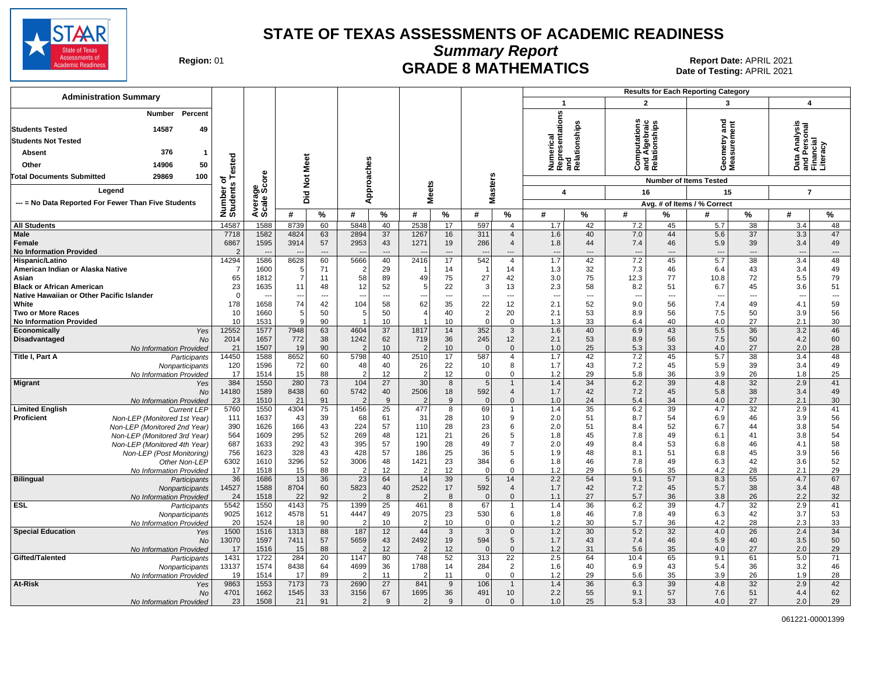

**Summary Report**

Region: 01 **Region: 01 CRADE 8 MATHEMATICS Date of Testing: APRIL 2021 Report Date: APRIL 2021** Date of Testing: APRIL 2021

| <b>Administration Summary</b>                                                            |                       |                      |                |           |                        |                      |                      |                |                            | <b>Results for Each Reporting Category</b> |                          |                          |                                                                |               |                                    |                                |                                                        |           |
|------------------------------------------------------------------------------------------|-----------------------|----------------------|----------------|-----------|------------------------|----------------------|----------------------|----------------|----------------------------|--------------------------------------------|--------------------------|--------------------------|----------------------------------------------------------------|---------------|------------------------------------|--------------------------------|--------------------------------------------------------|-----------|
|                                                                                          |                       |                      |                |           |                        |                      |                      |                |                            |                                            | $\mathbf{1}$             |                          | $\overline{2}$                                                 |               | $\overline{\mathbf{3}}$            |                                | $\overline{\mathbf{4}}$                                |           |
| Percent<br>Number<br>49<br><b>Students Tested</b><br>14587<br><b>Students Not Tested</b> |                       |                      |                |           |                        |                      |                      |                |                            |                                            | resentations             | and<br>Relationships     | ဖ္ ဂ်<br><b>Computations</b><br>and Algebraic<br>Relationships |               | ត្ត<br>ieometry and<br>leasurement |                                | Data Analysis<br>and Personal<br>Financial<br>Literacy |           |
| 376<br><b>Absent</b><br>-1                                                               |                       |                      |                |           |                        |                      |                      |                |                            |                                            | umerical                 |                          |                                                                |               |                                    |                                |                                                        |           |
| 50<br>Other<br>14906                                                                     | ested                 |                      |                |           |                        |                      |                      |                |                            |                                            | ng<br>Rep                |                          |                                                                |               |                                    |                                |                                                        |           |
| 29869<br>100                                                                             |                       |                      |                |           |                        |                      |                      |                |                            |                                            |                          |                          |                                                                |               | ÒΣ                                 |                                |                                                        |           |
| <b>Total Documents Submitted</b>                                                         | ৳                     | ទី                   | Not Meet       |           | Approaches             |                      |                      |                | <b>Masters</b>             |                                            |                          |                          |                                                                |               | <b>Number of Items Tested</b>      |                                |                                                        |           |
| Leaend                                                                                   |                       |                      | Did            |           |                        |                      | <b>Meets</b>         |                |                            |                                            | $\boldsymbol{4}$         |                          | 16                                                             |               | 15                                 |                                | $\overline{7}$                                         |           |
| --- = No Data Reported For Fewer Than Five Students                                      |                       | Average<br>Scale Scc |                |           |                        |                      |                      |                |                            |                                            |                          |                          |                                                                |               | Avg. # of Items / % Correct        |                                |                                                        |           |
|                                                                                          | Number of<br>Students |                      | #              | %         | #                      | %                    | #                    | %              | #                          | %                                          | #                        | %                        | #                                                              | $\frac{9}{6}$ | Ħ                                  | %                              | #                                                      | %         |
| <b>All Students</b>                                                                      | 14587                 | 1588                 | 8739           | 60        | 5848                   | 40                   | 2538                 | 17             | 597                        | $\overline{4}$                             | 1.7                      | 42                       | 7.2                                                            | 45            | 5.7                                | 38                             | 3.4                                                    | 48        |
| <b>Male</b>                                                                              | 7718                  | 1582                 | 4824           | 63        | 2894                   | 37                   | 1267                 | 16             | 311                        | $\overline{4}$                             | 1.6                      | 40                       | 7.0                                                            | 44            | 5.6                                | 37                             | 3.3                                                    | 47        |
| Female                                                                                   | 6867                  | 1595                 | 3914           | 57        | 2953                   | 43                   | 1271                 | 19             | 286                        | $\overline{4}$                             | 1.8                      | 44                       | 7.4                                                            | 46            | 5.9                                | 39                             | 3.4                                                    | 49        |
| <b>No Information Provided</b>                                                           | 14294                 | 1586                 |                | ---<br>60 | 5666                   | $\overline{a}$       |                      | ---<br>17      | 542                        | ---<br>$\overline{4}$                      | $\overline{\phantom{a}}$ | $---$                    | $\overline{\phantom{a}}$<br>7.2                                | $---$         | $\overline{\phantom{a}}$<br>5.7    | $\overline{\phantom{a}}$<br>38 | $\overline{\phantom{a}}$                               | ---<br>48 |
| Hispanic/Latino<br>American Indian or Alaska Native                                      | 7                     | 1600                 | 8628<br>5      | 71        | $\overline{2}$         | 40<br>29             | 2416                 | 14             | $\overline{1}$             | 14                                         | 1.7<br>1.3               | 42<br>32                 | 7.3                                                            | 45<br>46      | 6.4                                | 43                             | 3.4<br>3.4                                             | 49        |
| Asian                                                                                    | 65                    | 1812                 | $\overline{7}$ | 11        | 58                     | 89                   | 49                   | 75             | 27                         | 42                                         | 3.0                      | 75                       | 12.3                                                           | 77            | 10.8                               | 72                             | 5.5                                                    | 79        |
| <b>Black or African American</b>                                                         | 23                    | 1635                 | 11             | 48        | 12                     | 52                   | 5                    | 22             | 3                          | 13                                         | 2.3                      | 58                       | 8.2                                                            | 51            | 6.7                                | 45                             | 3.6                                                    | 51        |
| Native Hawaiian or Other Pacific Islander                                                | $\Omega$              |                      | $\overline{a}$ | ---       |                        | $\overline{a}$       |                      | $\overline{a}$ |                            | ---                                        | $\sim$                   | $\overline{\phantom{a}}$ | $\overline{a}$                                                 | $---$         | $\overline{a}$                     | $---$                          | ---                                                    | ---       |
| White                                                                                    | 178                   | 1658                 | 74             | 42        | 104                    | 58                   | 62                   | 35             | 22                         | 12                                         | 2.1                      | 52                       | 9.0                                                            | 56            | 7.4                                | 49                             | 4.1                                                    | 59        |
| <b>Two or More Races</b>                                                                 | 10                    | 1660                 | 5<br>q         | 50        | 5<br>$\overline{1}$    | 50                   | 4<br>$\overline{1}$  | 40             | $\overline{2}$<br>$\Omega$ | 20<br>$\Omega$                             | 2.1                      | 53                       | 8.9                                                            | 56<br>40      | 7.5                                | 50                             | 3.9                                                    | 56        |
| <b>No Information Provided</b><br>Economically<br>Yes                                    | 10<br>12552           | 1531<br>1577         | 7948           | 90<br>63  | 4604                   | 10<br>37             | 1817                 | 10<br>14       | 352                        | $\mathbf{3}$                               | 1.3<br>1.6               | 33<br>40                 | 6.4<br>6.9                                                     | 43            | 4.0<br>5.5                         | 27<br>36                       | 2.1<br>3.2                                             | 30<br>46  |
| Disadvantaged<br>No                                                                      | 2014                  | 1657                 | 772            | 38        | 1242                   | 62                   | 719                  | 36             | 245                        | 12                                         | 2.1                      | 53                       | 8.9                                                            | 56            | 7.5                                | 50                             | 4.2                                                    | 60        |
| No Information Provided                                                                  | 21                    | 1507                 | 19             | 90        | $\overline{2}$         | 10                   | 2                    | 10             | $\Omega$                   | $\mathbf 0$                                | 1.0                      | 25                       | 5.3                                                            | 33            | 4.0                                | 27                             | 2.0                                                    | 28        |
| Title I, Part A<br>Participants                                                          | 14450                 | 1588                 | 8652           | 60        | 5798                   | 40                   | 2510                 | 17             | 587                        | $\overline{4}$                             | 1.7                      | 42                       | 7.2                                                            | 45            | 5.7                                | 38                             | 3.4                                                    | 48        |
| Nonparticipants                                                                          | 120                   | 1596                 | 72             | 60        | 48                     | 40                   | 26                   | 22             | 10                         | 8                                          | 1.7                      | 43                       | 7.2                                                            | 45            | 5.9                                | 39                             | 3.4                                                    | 49        |
| No Information Provided                                                                  | 17<br>384             | 1514<br>1550         | 15<br>280      | 88<br>73  | $\overline{2}$<br>104  | 12<br>27             | $\overline{2}$<br>30 | 12<br>8        | $\mathbf 0$<br>5           | 0<br>$\overline{1}$                        | 1.2<br>1.4               | 29<br>34                 | 5.8<br>6.2                                                     | 36<br>39      | 3.9<br>4.8                         | 26<br>32                       | 1.8<br>2.9                                             | 25<br>41  |
| Migrant<br>Yes<br><b>No</b>                                                              | 14180                 | 1589                 | 8438           | 60        | 5742                   | 40                   | 2506                 | 18             | 592                        | $\overline{4}$                             | 1.7                      | 42                       | 7.2                                                            | 45            | 5.8                                | 38                             | 3.4                                                    | 49        |
| No Information Provided                                                                  | 23                    | 1510                 | 21             | 91        | $\overline{2}$         | 9                    |                      | 9              | $\mathbf{0}$               | $\mathbf{0}$                               | 1.0                      | 24                       | 5.4                                                            | 34            | 4.0                                | 27                             | 2.1                                                    | 30        |
| <b>Limited English</b><br><b>Current LEP</b>                                             | 5760                  | 1550                 | 4304           | 75        | 1456                   | 25                   | 477                  | 8              | 69                         | 1                                          | 1.4                      | 35                       | 6.2                                                            | 39            | 4.7                                | 32                             | 2.9                                                    | 41        |
| <b>Proficient</b><br>Non-LEP (Monitored 1st Year)                                        | 111                   | 1637                 | 43             | 39        | 68                     | 61                   | 31                   | 28             | 10                         | 9                                          | 2.0                      | 51                       | 8.7                                                            | 54            | 6.9                                | 46                             | 3.9                                                    | 56        |
| Non-LEP (Monitored 2nd Year)                                                             | 390                   | 1626                 | 166            | 43        | 224                    | 57                   | 110                  | 28             | 23                         | 6                                          | 2.0                      | 51                       | 8.4                                                            | 52            | 6.7                                | 44                             | 3.8                                                    | 54        |
| Non-LEP (Monitored 3rd Year)                                                             | 564<br>687            | 1609<br>1633         | 295<br>292     | 52<br>43  | 269<br>395             | 48<br>57             | 121<br>190           | 21<br>28       | 26<br>49                   | 5<br>$\overline{7}$                        | 1.8<br>2.0               | 45<br>49                 | 7.8<br>8.4                                                     | 49<br>53      | 6.1<br>6.8                         | 41<br>46                       | 3.8<br>4.1                                             | 54<br>58  |
| Non-LEP (Monitored 4th Year)<br>Non-LEP (Post Monitoring)                                | 756                   | 1623                 | 328            | 43        | 428                    | 57                   | 186                  | 25             | 36                         | 5                                          | 1.9                      | 48                       | 8.1                                                            | 51            | 6.8                                | 45                             | 3.9                                                    | 56        |
| Other Non-LEP                                                                            | 6302                  | 1610                 | 3296           | 52        | 3006                   | 48                   | 1421                 | 23             | 384                        | 6                                          | 1.8                      | 46                       | 7.8                                                            | 49            | 6.3                                | 42                             | 3.6                                                    | 52        |
| No Information Provided                                                                  | 17                    | 1518                 | 15             | 88        | $\overline{2}$         | 12                   |                      | 12             | $\mathbf 0$                | 0                                          | 1.2                      | 29                       | 5.6                                                            | 35            | 4.2                                | 28                             | 2.1                                                    | 29        |
| <b>Bilingual</b><br>Participants                                                         | 36                    | 1686                 | 13             | 36        | 23                     | 64                   | 14                   | 39             | 5                          | 14                                         | 2.2                      | 54                       | 9.1                                                            | 57            | 8.3                                | 55                             | 4.7                                                    | 67        |
| Nonparticipants                                                                          | 14527                 | 1588                 | 8704           | 60        | 5823                   | 40                   | 2522                 | 17             | 592                        | $\overline{4}$                             | 1.7                      | 42                       | 7.2                                                            | 45            | 5.7                                | 38                             | 3.4                                                    | 48        |
| No Information Provided<br><b>ESL</b><br>Participants                                    | 24<br>5542            | 1518<br>1550         | 22<br>4143     | 92<br>75  | $\overline{2}$<br>1399 | 8<br>$\overline{25}$ | 461                  | 8<br>8         | $\mathbf{0}$<br>67         | $\mathbf{0}$<br>$\mathbf{1}$               | 1.1<br>1.4               | 27<br>36                 | 5.7<br>6.2                                                     | 36<br>39      | 3.8<br>4.7                         | 26<br>32                       | 2.2<br>2.9                                             | 32<br>41  |
| Nonparticipants                                                                          | 9025                  | 1612                 | 4578           | 51        | 4447                   | 49                   | 2075                 | 23             | 530                        | 6                                          | 1.8                      | 46                       | 7.8                                                            | 49            | 6.3                                | 42                             | 3.7                                                    | 53        |
| No Information Provided                                                                  | 20                    | 1524                 | 18             | 90        |                        | 10                   | $\mathfrak{p}$       | 10             | $\mathbf 0$                | $\Omega$                                   | 1.2                      | 30                       | 5.7                                                            | 36            | 4.2                                | 28                             | 2.3                                                    | 33        |
| <b>Special Education</b><br>Yes                                                          | 1500                  | 1516                 | 1313           | 88        | 187                    | 12                   | 44                   | $\mathbf{3}$   | 3                          | $\mathbf 0$                                | 1.2                      | 30                       | 5.2                                                            | 32            | 4.0                                | 26                             | 2.4                                                    | 34        |
| No                                                                                       | 13070                 | 1597                 | 7411           | 57        | 5659                   | 43                   | 2492                 | 19             | 594                        | 5                                          | 1.7                      | 43                       | 7.4                                                            | 46            | 5.9                                | 40                             | 3.5                                                    | 50        |
| No Information Provided                                                                  | 17                    | 1516                 | 15             | 88        | 2                      | 12                   |                      | 12             | $\Omega$                   | $\mathbf{0}$                               | 1.2                      | 31                       | 5.6                                                            | 35            | 4.0                                | 27                             | 2.0                                                    | 29        |
| Gifted/Talented<br>Participants                                                          | 1431<br>13137         | 1722<br>1574         | 284<br>8438    | 20<br>64  | 1147<br>4699           | 80<br>36             | 748<br>1788          | 52<br>14       | 313<br>284                 | 22<br>$\overline{2}$                       | 2.5<br>1.6               | 64<br>40                 | 10.4<br>6.9                                                    | 65<br>43      | 9.1<br>5.4                         | 61<br>36                       | 5.0<br>3.2                                             | 71<br>46  |
| Nonparticipants<br>No Information Provided                                               | 19                    | 1514                 | 17             | 89        | $\overline{2}$         | 11                   | 2                    | 11             | $\Omega$                   | $\mathbf 0$                                | 1.2                      | 29                       | 5.6                                                            | 35            | 3.9                                | 26                             | 1.9                                                    | 28        |
| At-Risk<br>Yes                                                                           | 9863                  | 1553                 | 7173           | 73        | 2690                   | 27                   | 841                  | 9              | 106                        | -1                                         | 1.4                      | 36                       | 6.3                                                            | 39            | 4.8                                | 32                             | 2.9                                                    | 42        |
| No                                                                                       | 4701                  | 1662                 | 1545           | 33        | 3156                   | 67                   | 1695                 | 36             | 491                        | 10                                         | 2.2                      | 55                       | 9.1                                                            | 57            | 7.6                                | 51                             | 4.4                                                    | 62        |
| No Information Provided                                                                  | 23                    | 1508                 | 21             | 91        | $\overline{2}$         | 9                    | 2                    | 9              | $\mathbf{0}$               | $\mathbf{0}$                               | 1.0                      | 25                       | 5.3                                                            | 33            | 4.0                                | 27                             | 2.0                                                    | 29        |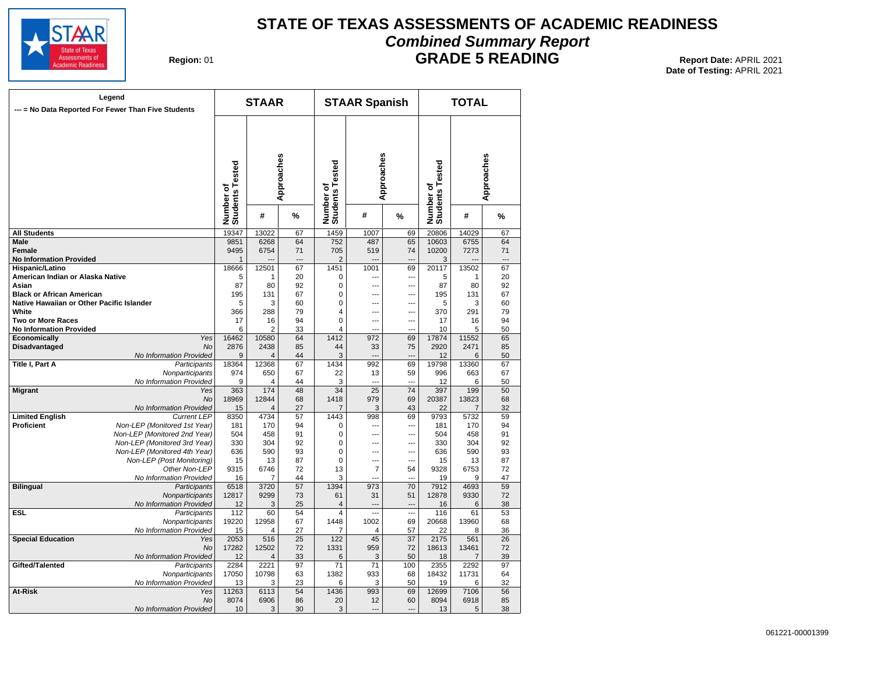

### **STATE OF TEXAS ASSESSMENTS OF ACADEMIC READINESS Combined Summary Report**

**Region: 01** 

**GRADE 5 READING** Report Date: APRIL 2021 **Date of Testing:**  APRIL 2021

|                                           | Legend<br>--- = No Data Reported For Fewer Than Five Students |                              | <b>STAAR</b> |            |                              | <b>STAAR Spanish</b>  |                 |                              | <b>TOTAL</b>   |                 |
|-------------------------------------------|---------------------------------------------------------------|------------------------------|--------------|------------|------------------------------|-----------------------|-----------------|------------------------------|----------------|-----------------|
|                                           |                                                               | Number of<br>Students Tested |              | Approaches | Number of<br>Students Tested | Approaches            |                 | Number of<br>Students Tested |                | Approaches      |
|                                           |                                                               |                              | #            | %          |                              | #                     | %               |                              | #              | %               |
| <b>All Students</b>                       |                                                               | 19347                        | 13022        | 67         | 1459                         | 1007                  | 69              | 20806                        | 14029          | 67              |
| <b>Male</b>                               |                                                               | 9851                         | 6268         | 64         | 752                          | 487                   | 65              | 10603                        | 6755           | 64              |
| <b>Female</b>                             |                                                               | 9495                         | 6754         | 71         | 705                          | 519                   | 74              | 10200                        | 7273           | 71              |
| <b>No Information Provided</b>            |                                                               | $\mathbf 1$                  |              | ---        | $\overline{2}$               |                       |                 | 3                            |                |                 |
| Hispanic/Latino                           |                                                               | 18666                        | 12501        | 67         | 1451                         | 1001                  | 69              | 20117                        | 13502          | 67              |
| American Indian or Alaska Native          |                                                               | 5                            | 1            | 20         | $\Omega$                     | ---                   | ---             | 5                            | 1              | 20              |
| Asian                                     |                                                               | 87                           | 80           | 92         | 0                            | ---                   | ---             | 87                           | 80             | 92              |
| <b>Black or African American</b>          |                                                               | 195                          | 131          | 67         | 0                            | ---                   | ---             | 195                          | 131            | 67              |
| Native Hawaiian or Other Pacific Islander |                                                               | 5                            | 3            | 60         | 0                            | ---                   | ---             | 5                            | 3              | 60              |
| White<br><b>Two or More Races</b>         |                                                               | 366<br>17                    | 288          | 79<br>94   | 4<br>$\mathbf 0$             | $\overline{a}$<br>--- | …<br>---        | 370<br>17                    | 291<br>16      | 79<br>94        |
| <b>No Information Provided</b>            |                                                               | 6                            | 16<br>2      | 33         | 4                            |                       |                 | 10                           | 5              | 50              |
| Economically                              | Yes                                                           | 16462                        | 10580        | 64         | 1412                         | 972                   | 69              | 17874                        | 11552          | 65              |
| <b>Disadvantaged</b>                      | <b>No</b>                                                     | 2876                         | 2438         | 85         | 44                           | 33                    | 75              | 2920                         | 2471           | 85              |
|                                           | No Information Provided                                       | 9                            | 4            | 44         | 3                            | ---                   | ---             | 12                           | 6              | 50              |
| Title I, Part A                           | Participants                                                  | 18364                        | 12368        | 67         | 1434                         | 992                   | 69              | 19798                        | 13360          | 67              |
|                                           | Nonparticipants                                               | 974                          | 650          | 67         | 22                           | 13                    | 59              | 996                          | 663            | 67              |
|                                           | No Information Provided                                       | 9                            | 4            | 44         | 3                            | $\overline{a}$        | ---             | 12                           | 6              | 50              |
| <b>Migrant</b>                            | Yes                                                           | 363                          | 174          | 48         | 34                           | $\overline{25}$       | 74              | 397                          | 199            | 50              |
|                                           | <b>No</b>                                                     | 18969                        | 12844        | 68         | 1418                         | 979                   | 69              | 20387                        | 13823          | 68              |
|                                           | No Information Provided                                       | 15                           | 4            | 27         | 7                            | 3                     | 43              | 22                           | $\overline{7}$ | 32              |
| <b>Limited English</b>                    | <b>Current LEP</b>                                            | 8350                         | 4734         | 57         | 1443                         | 998                   | 69              | 9793                         | 5732           | 59              |
| <b>Proficient</b>                         | Non-LEP (Monitored 1st Year)                                  | 181                          | 170          | 94         | 0                            | ---                   | ---             | 181                          | 170            | 94              |
|                                           | Non-LEP (Monitored 2nd Year)                                  | 504                          | 458          | 91         | 0                            | ---                   | ---             | 504                          | 458            | 91              |
|                                           | Non-LEP (Monitored 3rd Year)                                  | 330                          | 304          | 92         | 0                            | ---                   | ---             | 330                          | 304            | 92              |
|                                           | Non-LEP (Monitored 4th Year)                                  | 636                          | 590          | 93         | 0                            | $\overline{a}$        | ---             | 636                          | 590            | 93              |
|                                           | Non-LEP (Post Monitoring)                                     | 15                           | 13           | 87         | $\mathbf 0$                  | $\overline{a}$        | ---             | 15                           | 13             | 87              |
|                                           | Other Non-LEP<br>No Information Provided                      | 9315<br>16                   | 6746<br>7    | 72<br>44   | 13<br>3                      | $\overline{7}$<br>--- | 54<br>…         | 9328<br>19                   | 6753<br>9      | 72<br>47        |
| <b>Bilingual</b>                          | Participants                                                  | 6518                         | 3720         | 57         | 1394                         | 973                   | 70              | 7912                         | 4693           | 59              |
|                                           | Nonparticipants                                               | 12817                        | 9299         | 73         | 61                           | 31                    | 51              | 12878                        | 9330           | 72              |
|                                           | No Information Provided                                       | 12                           | 3            | 25         | 4                            | $\overline{a}$        | $\overline{a}$  | 16                           | 6              | 38              |
| <b>ESL</b>                                | Participants                                                  | 112                          | 60           | 54         | 4                            | $\overline{a}$        |                 | 116                          | 61             | 53              |
|                                           | Nonparticipants                                               | 19220                        | 12958        | 67         | 1448                         | 1002                  | 69              | 20668                        | 13960          | 68              |
|                                           | No Information Provided                                       | 15                           | 4            | 27         | 7                            | $\overline{4}$        | 57              | 22                           | 8              | 36              |
| <b>Special Education</b>                  | Yes                                                           | 2053                         | 516          | 25         | 122                          | 45                    | $\overline{37}$ | 2175                         | 561            | $\overline{26}$ |
|                                           | No                                                            | 17282                        | 12502        | 72         | 1331                         | 959                   | 72              | 18613                        | 13461          | 72              |
|                                           | No Information Provided                                       | 12                           | 4            | 33         | 6                            | 3                     | 50              | 18                           | 7              | 39              |
| Gifted/Talented                           | Participants                                                  | 2284                         | 2221         | 97         | 71                           | 71                    | 100             | 2355                         | 2292           | 97              |
|                                           | Nonparticipants                                               | 17050                        | 10798        | 63         | 1382                         | 933                   | 68              | 18432                        | 11731          | 64              |
|                                           | No Information Provided                                       | 13                           | 3            | 23         | 6                            | 3                     | 50              | 19                           | 6              | 32              |
| At-Risk                                   | Yes                                                           | 11263                        | 6113         | 54         | 1436                         | 993                   | 69              | 12699                        | 7106           | 56              |
|                                           | <b>No</b>                                                     | 8074                         | 6906         | 86         | 20                           | 12                    | 60              | 8094                         | 6918           | 85              |
|                                           | No Information Provided                                       | 10                           | 3            | 30         | 3                            | $\overline{a}$        | $\overline{a}$  | 13                           | 5              | 38              |